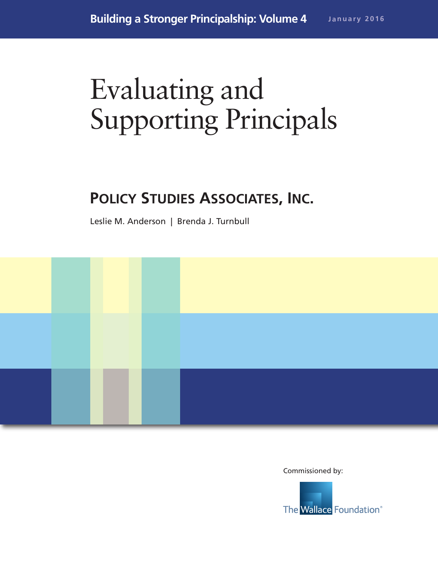# Evaluating and Supporting Principals

# **POLICY STUDIES ASSOCIATES, INC.**

Leslie M. Anderson | Brenda J. Turnbull



Commissioned by:

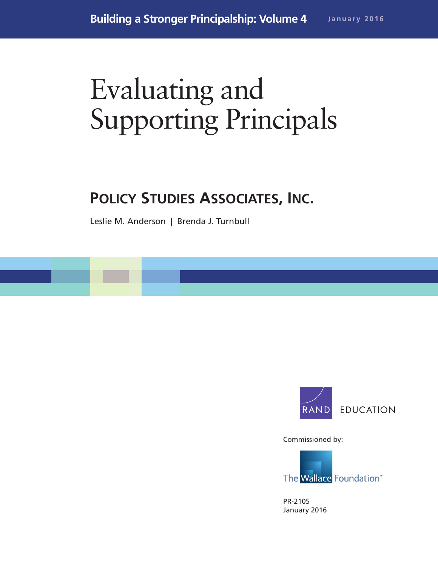# Evaluating and Supporting Principals

# **POLICY STUDIES ASSOCIATES, INC.**

Leslie M. Anderson | Brenda J. Turnbull



Commissioned by:



PR-2105 January 2016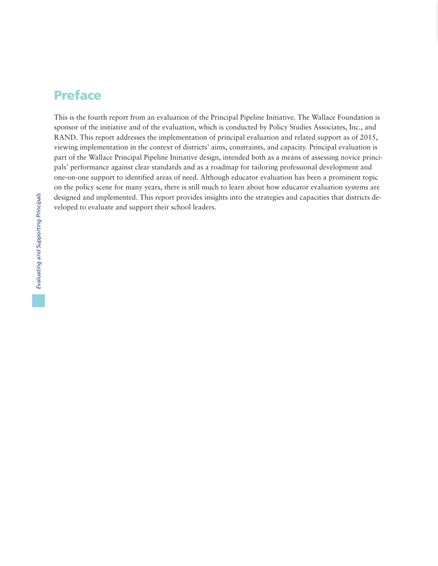# **Preface**

This is the fourth report from an evaluation of the Principal Pipeline Initiative. The Wallace Foundation is sponsor of the initiative and of the evaluation, which is conducted by Policy Studies Associates, Inc., and RAND. This report addresses the implementation of principal evaluation and related support as of 2015, viewing implementation in the context of districts' aims, constraints, and capacity. Principal evaluation is part of the Wallace Principal Pipeline Initiative design, intended both as a means of assessing novice principals' performance against clear standards and as a roadmap for tailoring professional development and one-on-one support to identified areas of need. Although educator evaluation has been a prominent topic on the policy scene for many years, there is still much to learn about how educator evaluation systems are designed and implemented. This report provides insights into the strategies and capacities that districts developed to evaluate and support their school leaders.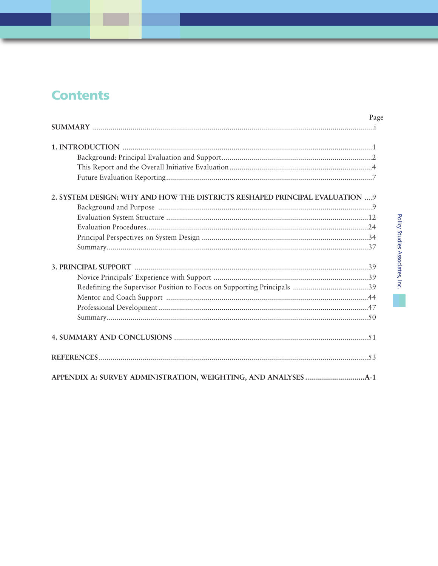# **Contents**

|                                                                              | Page |
|------------------------------------------------------------------------------|------|
|                                                                              |      |
|                                                                              |      |
|                                                                              |      |
|                                                                              |      |
|                                                                              |      |
| 2. SYSTEM DESIGN: WHY AND HOW THE DISTRICTS RESHAPED PRINCIPAL EVALUATION  9 |      |
|                                                                              |      |
|                                                                              |      |
|                                                                              |      |
|                                                                              |      |
|                                                                              |      |
|                                                                              |      |
|                                                                              |      |
|                                                                              |      |
|                                                                              |      |
|                                                                              |      |
|                                                                              |      |
|                                                                              |      |
|                                                                              |      |
|                                                                              |      |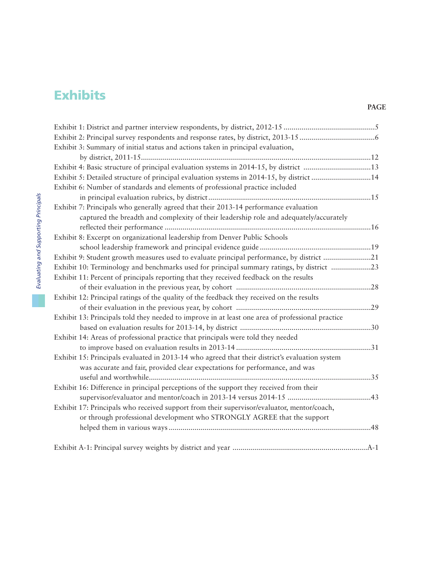# **Exhibits**

## **PAGE**

| Exhibit 3: Summary of initial status and actions taken in principal evaluation,                  |
|--------------------------------------------------------------------------------------------------|
|                                                                                                  |
| Exhibit 4: Basic structure of principal evaluation systems in 2014-15, by district 13            |
| Exhibit 5: Detailed structure of principal evaluation systems in 2014-15, by district 14         |
| Exhibit 6: Number of standards and elements of professional practice included                    |
|                                                                                                  |
| Exhibit 7: Principals who generally agreed that their 2013-14 performance evaluation             |
| captured the breadth and complexity of their leadership role and adequately/accurately           |
|                                                                                                  |
| Exhibit 8: Excerpt on organizational leadership from Denver Public Schools                       |
|                                                                                                  |
| Exhibit 9: Student growth measures used to evaluate principal performance, by district 21        |
| Exhibit 10: Terminology and benchmarks used for principal summary ratings, by district 23        |
| Exhibit 11: Percent of principals reporting that they received feedback on the results           |
|                                                                                                  |
| Exhibit 12: Principal ratings of the quality of the feedback they received on the results        |
|                                                                                                  |
| Exhibit 13: Principals told they needed to improve in at least one area of professional practice |
|                                                                                                  |
| Exhibit 14: Areas of professional practice that principals were told they needed                 |
|                                                                                                  |
| Exhibit 15: Principals evaluated in 2013-14 who agreed that their district's evaluation system   |
| was accurate and fair, provided clear expectations for performance, and was                      |
|                                                                                                  |
| Exhibit 16: Difference in principal perceptions of the support they received from their          |
|                                                                                                  |
| Exhibit 17: Principals who received support from their supervisor/evaluator, mentor/coach,       |
| or through professional development who STRONGLY AGREE that the support                          |
|                                                                                                  |
|                                                                                                  |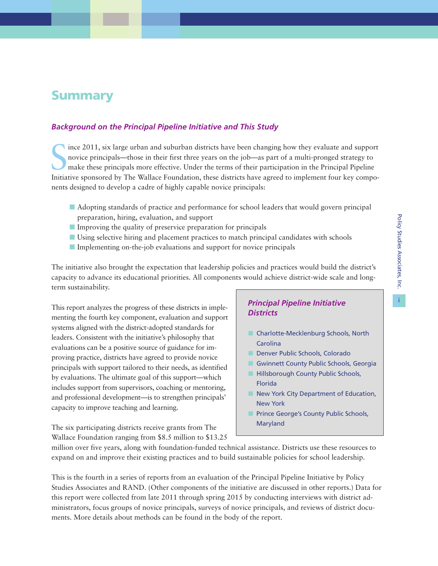# **Summary**

#### *Background on the Principal Pipeline Initiative and This Study*

S ince 2011, six large urban and suburban districts have been changing how they evaluate and support novice principals—those in their first three years on the job—as part of a multi-pronged strategy to make these principal ince 2011, six large urban and suburban districts have been changing how they evaluate and support novice principals—those in their first three years on the job—as part of a multi-pronged strategy to make these principals more effective. Under the terms of their participation in the Principal Pipeline nents designed to develop a cadre of highly capable novice principals:

- Adopting standards of practice and performance for school leaders that would govern principal preparation, hiring, evaluation, and support
- Improving the quality of preservice preparation for principals
- Using selective hiring and placement practices to match principal candidates with schools
- Implementing on-the-job evaluations and support for novice principals

The initiative also brought the expectation that leadership policies and practices would build the district's capacity to advance its educational priorities. All components would achieve district-wide scale and longterm sustainability.

This report analyzes the progress of these districts in implementing the fourth key component, evaluation and support systems aligned with the district-adopted standards for leaders. Consistent with the initiative's philosophy that evaluations can be a positive source of guidance for improving practice, districts have agreed to provide novice principals with support tailored to their needs, as identified by evaluations. The ultimate goal of this support—which includes support from supervisors, coaching or mentoring, and professional development—is to strengthen principals' capacity to improve teaching and learning.

The six participating districts receive grants from The Wallace Foundation ranging from \$8.5 million to \$13.25

#### *Principal Pipeline Initiative Districts*

- Charlotte-Mecklenburg Schools, North **Carolina**
- Denver Public Schools, Colorado
- Gwinnett County Public Schools, Georgia
- Hillsborough County Public Schools, Florida
- New York City Department of Education, New York
- Prince George's County Public Schools, Maryland

million over five years, along with foundation-funded technical assistance. Districts use these resources to expand on and improve their existing practices and to build sustainable policies for school leadership.

This is the fourth in a series of reports from an evaluation of the Principal Pipeline Initiative by Policy Studies Associates and RAND. (Other components of the initiative are discussed in other reports.) Data for this report were collected from late 2011 through spring 2015 by conducting interviews with district administrators, focus groups of novice principals, surveys of novice principals, and reviews of district documents. More details about methods can be found in the body of the report.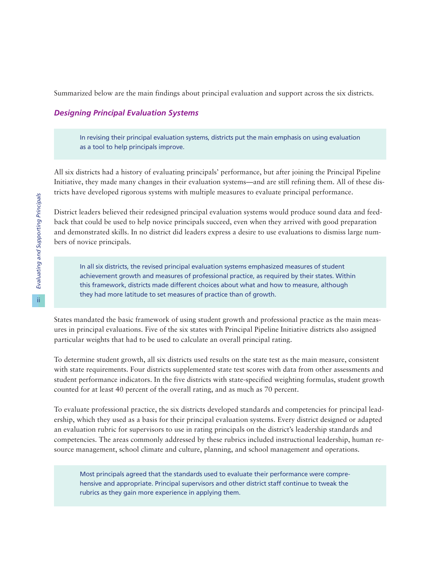Summarized below are the main findings about principal evaluation and support across the six districts.

#### *Designing Principal Evaluation Systems*

In revising their principal evaluation systems, districts put the main emphasis on using evaluation as a tool to help principals improve.

All six districts had a history of evaluating principals' performance, but after joining the Principal Pipeline Initiative, they made many changes in their evaluation systems—and are still refining them. All of these districts have developed rigorous systems with multiple measures to evaluate principal performance.

District leaders believed their redesigned principal evaluation systems would produce sound data and feedback that could be used to help novice principals succeed, even when they arrived with good preparation and demonstrated skills. In no district did leaders express a desire to use evaluations to dismiss large numbers of novice principals.

In all six districts, the revised principal evaluation systems emphasized measures of student achievement growth and measures of professional practice, as required by their states. Within this framework, districts made different choices about what and how to measure, although they had more latitude to set measures of practice than of growth.

States mandated the basic framework of using student growth and professional practice as the main measures in principal evaluations. Five of the six states with Principal Pipeline Initiative districts also assigned particular weights that had to be used to calculate an overall principal rating.

To determine student growth, all six districts used results on the state test as the main measure, consistent with state requirements. Four districts supplemented state test scores with data from other assessments and student performance indicators. In the five districts with state-specified weighting formulas, student growth counted for at least 40 percent of the overall rating, and as much as 70 percent.

To evaluate professional practice, the six districts developed standards and competencies for principal leadership, which they used as a basis for their principal evaluation systems. Every district designed or adapted an evaluation rubric for supervisors to use in rating principals on the district's leadership standards and competencies. The areas commonly addressed by these rubrics included instructional leadership, human resource management, school climate and culture, planning, and school management and operations.

Most principals agreed that the standards used to evaluate their performance were comprehensive and appropriate. Principal supervisors and other district staff continue to tweak the rubrics as they gain more experience in applying them.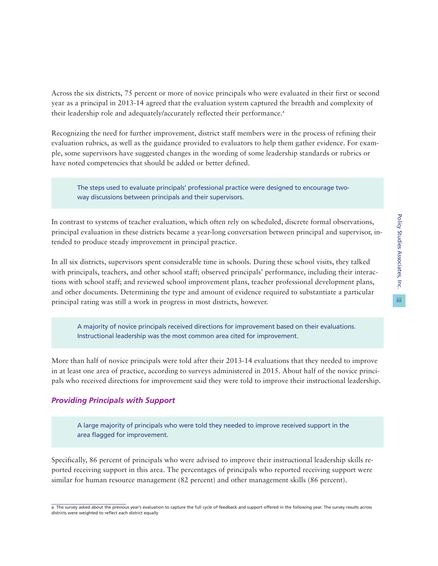Across the six districts, 75 percent or more of novice principals who were evaluated in their first or second year as a principal in 2013-14 agreed that the evaluation system captured the breadth and complexity of their leadership role and adequately/accurately reflected their performance. a

Recognizing the need for further improvement, district staff members were in the process of refining their evaluation rubrics, as well as the guidance provided to evaluators to help them gather evidence. For example, some supervisors have suggested changes in the wording of some leadership standards or rubrics or have noted competencies that should be added or better defined.

The steps used to evaluate principals' professional practice were designed to encourage twoway discussions between principals and their supervisors.

In contrast to systems of teacher evaluation, which often rely on scheduled, discrete formal observations, principal evaluation in these districts became a year-long conversation between principal and supervisor, intended to produce steady improvement in principal practice.

In all six districts, supervisors spent considerable time in schools. During these school visits, they talked with principals, teachers, and other school staff; observed principals' performance, including their interactions with school staff; and reviewed school improvement plans, teacher professional development plans, and other documents. Determining the type and amount of evidence required to substantiate a particular principal rating was still a work in progress in most districts, however.

A majority of novice principals received directions for improvement based on their evaluations. Instructional leadership was the most common area cited for improvement.

More than half of novice principals were told after their 2013-14 evaluations that they needed to improve in at least one area of practice, according to surveys administered in 2015. About half of the novice principals who received directions for improvement said they were told to improve their instructional leadership.

#### *Providing Principals with Support*

A large majority of principals who were told they needed to improve received support in the area flagged for improvement.

Specifically, 86 percent of principals who were advised to improve their instructional leadership skills reported receiving support in this area. The percentages of principals who reported receiving support were similar for human resource management (82 percent) and other management skills (86 percent).

a The survey asked about the previous year's evaluation to capture the full cycle of feedback and support offered in the following year. The survey results across districts were weighted to reflect each district equally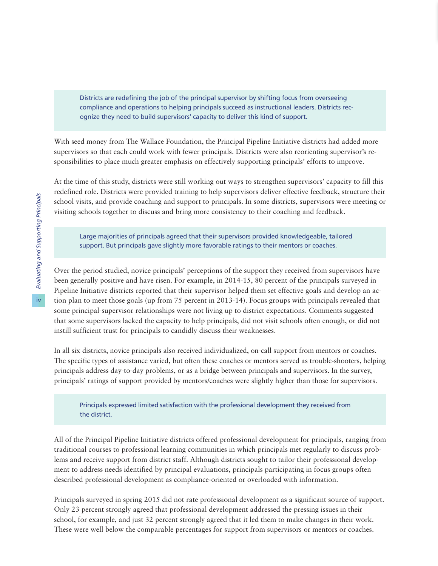Districts are redefining the job of the principal supervisor by shifting focus from overseeing compliance and operations to helping principals succeed as instructional leaders. Districts recognize they need to build supervisors' capacity to deliver this kind of support.

With seed money from The Wallace Foundation, the Principal Pipeline Initiative districts had added more supervisors so that each could work with fewer principals. Districts were also reorienting supervisor's responsibilities to place much greater emphasis on effectively supporting principals' efforts to improve.

At the time of this study, districts were still working out ways to strengthen supervisors' capacity to fill this redefined role. Districts were provided training to help supervisors deliver effective feedback, structure their school visits, and provide coaching and support to principals. In some districts, supervisors were meeting or visiting schools together to discuss and bring more consistency to their coaching and feedback.

Large majorities of principals agreed that their supervisors provided knowledgeable, tailored support. But principals gave slightly more favorable ratings to their mentors or coaches.

Over the period studied, novice principals' perceptions of the support they received from supervisors have been generally positive and have risen. For example, in 2014-15, 80 percent of the principals surveyed in Pipeline Initiative districts reported that their supervisor helped them set effective goals and develop an action plan to meet those goals (up from 75 percent in 2013-14). Focus groups with principals revealed that some principal-supervisor relationships were not living up to district expectations. Comments suggested that some supervisors lacked the capacity to help principals, did not visit schools often enough, or did not instill sufficient trust for principals to candidly discuss their weaknesses.

In all six districts, novice principals also received individualized, on-call support from mentors or coaches. The specific types of assistance varied, but often these coaches or mentors served as trouble-shooters, helping principals address day-to-day problems, or as a bridge between principals and supervisors. In the survey, principals' ratings of support provided by mentors/coaches were slightly higher than those for supervisors.

Principals expressed limited satisfaction with the professional development they received from the district.

All of the Principal Pipeline Initiative districts offered professional development for principals, ranging from traditional courses to professional learning communities in which principals met regularly to discuss problems and receive support from district staff. Although districts sought to tailor their professional development to address needs identified by principal evaluations, principals participating in focus groups often described professional development as compliance-oriented or overloaded with information.

Principals surveyed in spring 2015 did not rate professional development as a significant source of support. Only 23 percent strongly agreed that professional development addressed the pressing issues in their school, for example, and just 32 percent strongly agreed that it led them to make changes in their work. These were well below the comparable percentages for support from supervisors or mentors or coaches.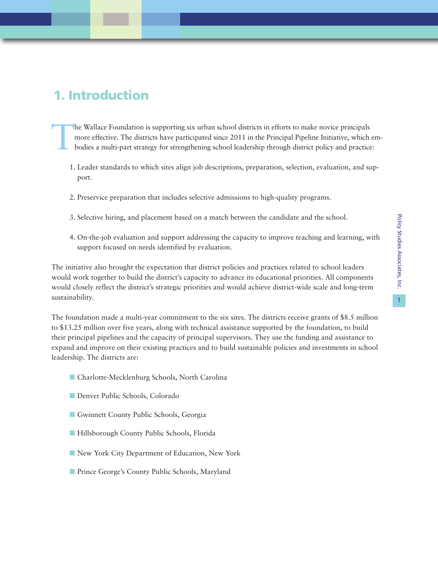# **1. Introduction**

- The Wallace Foundation is supporting six urban school districts in efforts to make novice principals more effective. The districts have participated since 2011 in the Principal Pipeline Initiative, which embodies a multi-part strategy for strengthening school leadership through district policy and practice:
	- 1. Leader standards to which sites align job descriptions, preparation, selection, evaluation, and support.
	- 2. Preservice preparation that includes selective admissions to high-quality programs.
	- 3. Selective hiring, and placement based on a match between the candidate and the school.
	- 4. On-the-job evaluation and support addressing the capacity to improve teaching and learning, with support focused on needs identified by evaluation.

The initiative also brought the expectation that district policies and practices related to school leaders would work together to build the district's capacity to advance its educational priorities. All components would closely reflect the district's strategic priorities and would achieve district-wide scale and long-term sustainability.

The foundation made a multi-year commitment to the six sites. The districts receive grants of \$8.5 million to \$13.25 million over five years, along with technical assistance supported by the foundation, to build their principal pipelines and the capacity of principal supervisors. They use the funding and assistance to expand and improve on their existing practices and to build sustainable policies and investments in school leadership. The districts are:

- Charlotte-Mecklenburg Schools, North Carolina
- Denver Public Schools, Colorado
- Gwinnett County Public Schools, Georgia
- Hillsborough County Public Schools, Florida
- New York City Department of Education, New York
- Prince George's County Public Schools, Maryland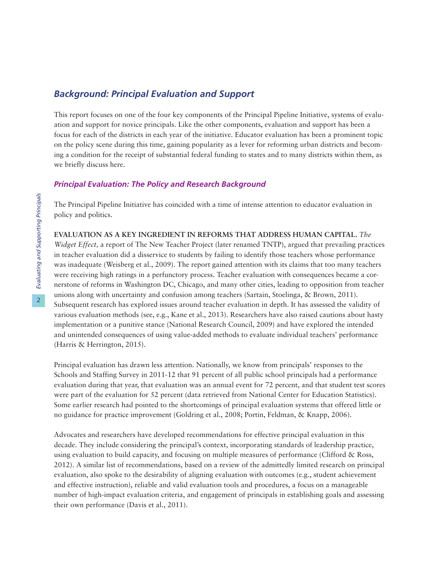#### *Background: Principal Evaluation and Support*

This report focuses on one of the four key components of the Principal Pipeline Initiative, systems of evaluation and support for novice principals. Like the other components, evaluation and support has been a focus for each of the districts in each year of the initiative. Educator evaluation has been a prominent topic on the policy scene during this time, gaining popularity as a lever for reforming urban districts and becoming a condition for the receipt of substantial federal funding to states and to many districts within them, as we briefly discuss here.

#### *Principal Evaluation: The Policy and Research Background*

The Principal Pipeline Initiative has coincided with a time of intense attention to educator evaluation in policy and politics.

**EVALUATION AS A KEY INGREDIENT IN REFORMS THAT ADDRESS HUMAN CAPITAL.** *The Widget Effect,* a report of The New Teacher Project (later renamed TNTP), argued that prevailing practices in teacher evaluation did a disservice to students by failing to identify those teachers whose performance was inadequate (Weisberg et al., 2009). The report gained attention with its claims that too many teachers were receiving high ratings in a perfunctory process. Teacher evaluation with consequences became a cornerstone of reforms in Washington DC, Chicago, and many other cities, leading to opposition from teacher unions along with uncertainty and confusion among teachers (Sartain, Stoelinga, & Brown, 2011). Subsequent research has explored issues around teacher evaluation in depth. It has assessed the validity of various evaluation methods (see, e.g., Kane et al., 2013). Researchers have also raised cautions about hasty implementation or a punitive stance (National Research Council, 2009) and have explored the intended and unintended consequences of using value-added methods to evaluate individual teachers' performance (Harris & Herrington, 2015).

Principal evaluation has drawn less attention. Nationally, we know from principals' responses to the Schools and Staffing Survey in 2011-12 that 91 percent of all public school principals had a performance evaluation during that year, that evaluation was an annual event for 72 percent, and that student test scores were part of the evaluation for 52 percent (data retrieved from National Center for Education Statistics). Some earlier research had pointed to the shortcomings of principal evaluation systems that offered little or no guidance for practice improvement (Goldring et al., 2008; Portin, Feldman, & Knapp, 2006).

Advocates and researchers have developed recommendations for effective principal evaluation in this decade. They include considering the principal's context, incorporating standards of leadership practice, using evaluation to build capacity, and focusing on multiple measures of performance (Clifford & Ross, 2012). A similar list of recommendations, based on a review of the admittedly limited research on principal evaluation, also spoke to the desirability of aligning evaluation with outcomes (e.g., student achievement and effective instruction), reliable and valid evaluation tools and procedures, a focus on a manageable number of high-impact evaluation criteria, and engagement of principals in establishing goals and assessing their own performance (Davis et al., 2011).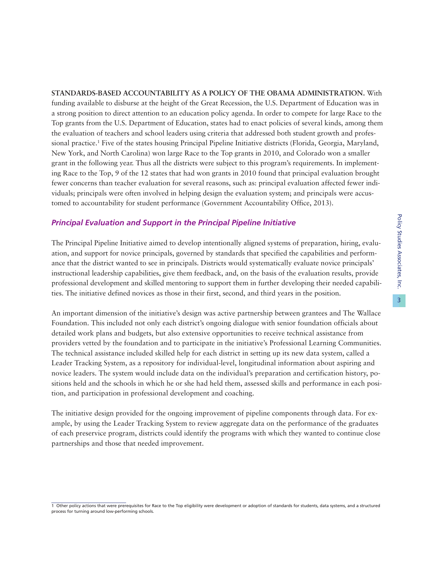**STANDARDS-BASED ACCOUNTABILITY AS A POLICY OF THE OBAMA ADMINISTRATION.** With funding available to disburse at the height of the Great Recession, the U.S. Department of Education was in a strong position to direct attention to an education policy agenda. In order to compete for large Race to the Top grants from the U.S. Department of Education, states had to enact policies of several kinds, among them the evaluation of teachers and school leaders using criteria that addressed both student growth and professional practice. <sup>1</sup> Five of the states housing Principal Pipeline Initiative districts (Florida, Georgia, Maryland, New York, and North Carolina) won large Race to the Top grants in 2010, and Colorado won a smaller grant in the following year. Thus all the districts were subject to this program's requirements. In implementing Race to the Top, 9 of the 12 states that had won grants in 2010 found that principal evaluation brought fewer concerns than teacher evaluation for several reasons, such as: principal evaluation affected fewer individuals; principals were often involved in helping design the evaluation system; and principals were accustomed to accountability for student performance (Government Accountability Office, 2013).

#### *Principal Evaluation and Support in the Principal Pipeline Initiative*

The Principal Pipeline Initiative aimed to develop intentionally aligned systems of preparation, hiring, evaluation, and support for novice principals, governed by standards that specified the capabilities and performance that the district wanted to see in principals. Districts would systematically evaluate novice principals' instructional leadership capabilities, give them feedback, and, on the basis of the evaluation results, provide professional development and skilled mentoring to support them in further developing their needed capabilities. The initiative defined novices as those in their first, second, and third years in the position.

An important dimension of the initiative's design was active partnership between grantees and The Wallace Foundation. This included not only each district's ongoing dialogue with senior foundation officials about detailed work plans and budgets, but also extensive opportunities to receive technical assistance from providers vetted by the foundation and to participate in the initiative's Professional Learning Communities. The technical assistance included skilled help for each district in setting up its new data system, called a Leader Tracking System, as a repository for individual-level, longitudinal information about aspiring and novice leaders. The system would include data on the individual's preparation and certification history, positions held and the schools in which he or she had held them, assessed skills and performance in each position, and participation in professional development and coaching.

The initiative design provided for the ongoing improvement of pipeline components through data. For example, by using the Leader Tracking System to review aggregate data on the performance of the graduates of each preservice program, districts could identify the programs with which they wanted to continue close partnerships and those that needed improvement.

<sup>1</sup> Other policy actions that were prerequisites for Race to the Top eligibility were development or adoption of standards for students, data systems, and a structured process for turning around low-performing schools.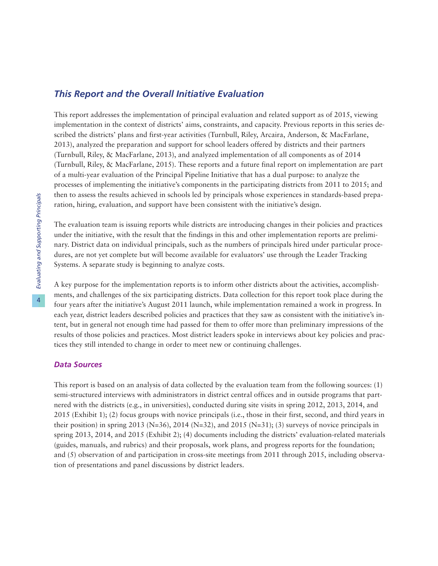#### *This Report and the Overall Initiative Evaluation*

This report addresses the implementation of principal evaluation and related support as of 2015, viewing implementation in the context of districts' aims, constraints, and capacity. Previous reports in this series described the districts' plans and first-year activities (Turnbull, Riley, Arcaira, Anderson, & MacFarlane, 2013), analyzed the preparation and support for school leaders offered by districts and their partners (Turnbull, Riley, & MacFarlane, 2013), and analyzed implementation of all components as of 2014 (Turnbull, Riley, & MacFarlane, 2015). These reports and a future final report on implementation are part of a multi-year evaluation of the Principal Pipeline Initiative that has a dual purpose: to analyze the processes of implementing the initiative's components in the participating districts from 2011 to 2015; and then to assess the results achieved in schools led by principals whose experiences in standards-based preparation, hiring, evaluation, and support have been consistent with the initiative's design.

The evaluation team is issuing reports while districts are introducing changes in their policies and practices under the initiative, with the result that the findings in this and other implementation reports are preliminary. District data on individual principals, such as the numbers of principals hired under particular procedures, are not yet complete but will become available for evaluators' use through the Leader Tracking Systems. A separate study is beginning to analyze costs.

A key purpose for the implementation reports is to inform other districts about the activities, accomplishments, and challenges of the six participating districts. Data collection for this report took place during the four years after the initiative's August 2011 launch, while implementation remained a work in progress. In each year, district leaders described policies and practices that they saw as consistent with the initiative's intent, but in general not enough time had passed for them to offer more than preliminary impressions of the results of those policies and practices. Most district leaders spoke in interviews about key policies and practices they still intended to change in order to meet new or continuing challenges.

#### *Data Sources*

This report is based on an analysis of data collected by the evaluation team from the following sources: (1) semi-structured interviews with administrators in district central offices and in outside programs that partnered with the districts (e.g., in universities), conducted during site visits in spring 2012, 2013, 2014, and 2015 (Exhibit 1); (2) focus groups with novice principals (i.e., those in their first, second, and third years in their position) in spring 2013 (N=36), 2014 (N=32), and 2015 (N=31); (3) surveys of novice principals in spring 2013, 2014, and 2015 (Exhibit 2); (4) documents including the districts' evaluation-related materials (guides, manuals, and rubrics) and their proposals, work plans, and progress reports for the foundation; and (5) observation of and participation in cross-site meetings from 2011 through 2015, including observation of presentations and panel discussions by district leaders.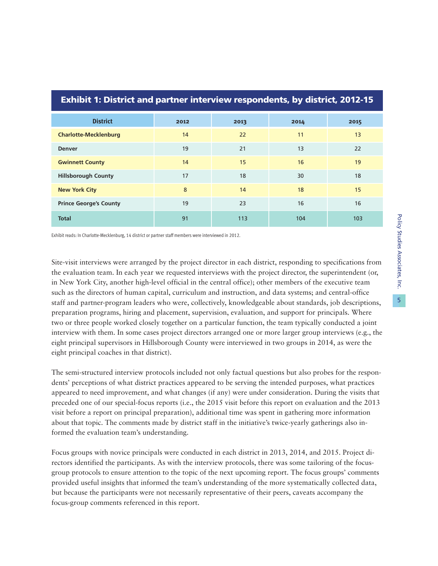| <b>District</b>               | 2012 | 2013 | 2014 | 2015 |
|-------------------------------|------|------|------|------|
| <b>Charlotte-Mecklenburg</b>  | 14   | 22   | 11   | 13   |
| <b>Denver</b>                 | 19   | 21   | 13   | 22   |
| <b>Gwinnett County</b>        | 14   | 15   | 16   | 19   |
| <b>Hillsborough County</b>    | 17   | 18   | 30   | 18   |
| <b>New York City</b>          | 8    | 14   | 18   | 15   |
| <b>Prince George's County</b> | 19   | 23   | 16   | 16   |
| <b>Total</b>                  | 91   | 113  | 104  | 103  |

## **Exhibit 1: District and partner interview respondents, by district, 2012-15**

Exhibit reads: In Charlotte-Mecklenburg, 14 district or partner staff members were interviewed in 2012.

Site-visit interviews were arranged by the project director in each district, responding to specifications from the evaluation team. In each year we requested interviews with the project director, the superintendent (or, in New York City, another high-level official in the central office); other members of the executive team such as the directors of human capital, curriculum and instruction, and data systems; and central-office staff and partner-program leaders who were, collectively, knowledgeable about standards, job descriptions, preparation programs, hiring and placement, supervision, evaluation, and support for principals. Where two or three people worked closely together on a particular function, the team typically conducted a joint interview with them. In some cases project directors arranged one or more larger group interviews (e.g., the eight principal supervisors in Hillsborough County were interviewed in two groups in 2014, as were the eight principal coaches in that district).

The semi-structured interview protocols included not only factual questions but also probes for the respondents' perceptions of what district practices appeared to be serving the intended purposes, what practices appeared to need improvement, and what changes (if any) were under consideration. During the visits that preceded one of our special-focus reports (i.e., the 2015 visit before this report on evaluation and the 2013 visit before a report on principal preparation), additional time was spent in gathering more information about that topic. The comments made by district staff in the initiative's twice-yearly gatherings also informed the evaluation team's understanding.

Focus groups with novice principals were conducted in each district in 2013, 2014, and 2015. Project directors identified the participants. As with the interview protocols, there was some tailoring of the focusgroup protocols to ensure attention to the topic of the next upcoming report. The focus groups' comments provided useful insights that informed the team's understanding of the more systematically collected data, but because the participants were not necessarily representative of their peers, caveats accompany the focus-group comments referenced in this report.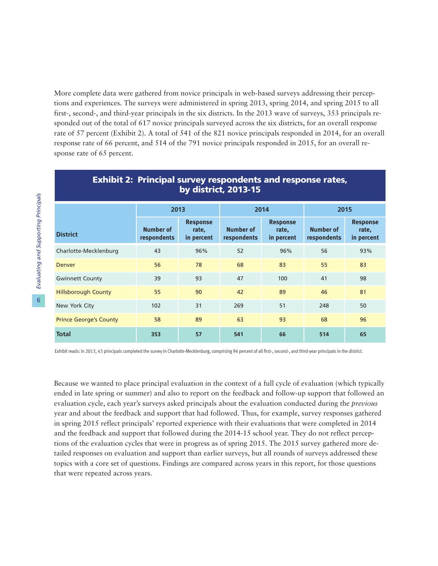More complete data were gathered from novice principals in web-based surveys addressing their perceptions and experiences. The surveys were administered in spring 2013, spring 2014, and spring 2015 to all first-, second-, and third-year principals in the six districts. In the 2013 wave of surveys, 353 principals responded out of the total of 617 novice principals surveyed across the six districts, for an overall response rate of 57 percent (Exhibit 2). A total of 541 of the 821 novice principals responded in 2014, for an overall response rate of 66 percent, and 514 of the 791 novice principals responded in 2015, for an overall response rate of 65 percent.

|                               | 2013                            |                                        | 2014                            |                                        | 2015                            |                                        |
|-------------------------------|---------------------------------|----------------------------------------|---------------------------------|----------------------------------------|---------------------------------|----------------------------------------|
| <b>District</b>               | <b>Number of</b><br>respondents | <b>Response</b><br>rate,<br>in percent | <b>Number of</b><br>respondents | <b>Response</b><br>rate,<br>in percent | <b>Number of</b><br>respondents | <b>Response</b><br>rate,<br>in percent |
| Charlotte-Mecklenburg         | 43                              | 96%                                    | 52                              | 96%                                    | 56                              | 93%                                    |
| <b>Denver</b>                 | 56                              | 78                                     | 68                              | 83                                     | 55                              | 83                                     |
| <b>Gwinnett County</b>        | 39                              | 93                                     | 47                              | 100                                    | 41                              | 98                                     |
| <b>Hillsborough County</b>    | 55                              | 90                                     | 42                              | 89                                     | 46                              | 81                                     |
| New York City                 | 102                             | 31                                     | 269                             | 51                                     | 248                             | 50                                     |
| <b>Prince George's County</b> | 58                              | 89                                     | 63                              | 93                                     | 68                              | 96                                     |
| <b>Total</b>                  | 353                             | 57                                     | 541                             | 66                                     | 514                             | 65                                     |

#### **Exhibit 2: Principal survey respondents and response rates, by district, 2013-15**

Exhibit reads: In 2013, 43 principals completed the survey in Charlotte-Mecklenburg, comprising 96 percent of all first-, second-, and third-year principals in the district.

Because we wanted to place principal evaluation in the context of a full cycle of evaluation (which typically ended in late spring or summer) and also to report on the feedback and follow-up support that followed an evaluation cycle, each year's surveys asked principals about the evaluation conducted during the *previous* year and about the feedback and support that had followed. Thus, for example, survey responses gathered in spring 2015 reflect principals' reported experience with their evaluations that were completed in 2014 and the feedback and support that followed during the 2014-15 school year. They do not reflect perceptions of the evaluation cycles that were in progress as of spring 2015. The 2015 survey gathered more detailed responses on evaluation and support than earlier surveys, but all rounds of surveys addressed these topics with a core set of questions. Findings are compared across years in this report, for those questions that were repeated across years.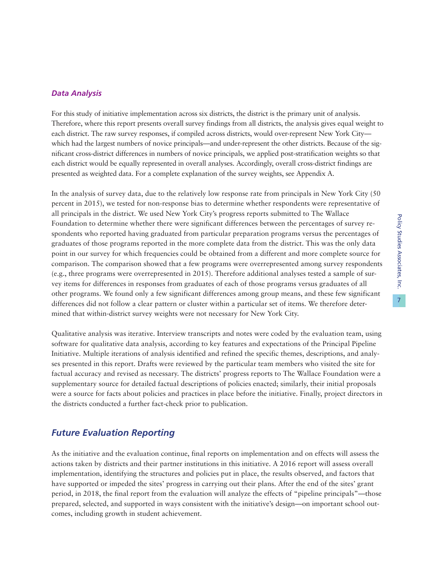#### *Data Analysis*

For this study of initiative implementation across six districts, the district is the primary unit of analysis. Therefore, where this report presents overall survey findings from all districts, the analysis gives equal weight to each district. The raw survey responses, if compiled across districts, would over-represent New York City which had the largest numbers of novice principals—and under-represent the other districts. Because of the significant cross-district differences in numbers of novice principals, we applied post-stratification weights so that each district would be equally represented in overall analyses. Accordingly, overall cross-district findings are presented as weighted data. For a complete explanation of the survey weights, see Appendix A.

In the analysis of survey data, due to the relatively low response rate from principals in New York City (50 percent in 2015), we tested for non-response bias to determine whether respondents were representative of all principals in the district. We used New York City's progress reports submitted to The Wallace Foundation to determine whether there were significant differences between the percentages of survey respondents who reported having graduated from particular preparation programs versus the percentages of graduates of those programs reported in the more complete data from the district. This was the only data point in our survey for which frequencies could be obtained from a different and more complete source for comparison. The comparison showed that a few programs were overrepresented among survey respondents (e.g., three programs were overrepresented in 2015). Therefore additional analyses tested a sample of survey items for differences in responses from graduates of each of those programs versus graduates of all other programs. We found only a few significant differences among group means, and these few significant differences did not follow a clear pattern or cluster within a particular set of items. We therefore determined that within-district survey weights were not necessary for New York City.

Qualitative analysis was iterative. Interview transcripts and notes were coded by the evaluation team, using software for qualitative data analysis, according to key features and expectations of the Principal Pipeline Initiative. Multiple iterations of analysis identified and refined the specific themes, descriptions, and analyses presented in this report. Drafts were reviewed by the particular team members who visited the site for factual accuracy and revised as necessary. The districts' progress reports to The Wallace Foundation were a supplementary source for detailed factual descriptions of policies enacted; similarly, their initial proposals were a source for facts about policies and practices in place before the initiative. Finally, project directors in the districts conducted a further fact-check prior to publication.

## *Future Evaluation Reporting*

As the initiative and the evaluation continue, final reports on implementation and on effects will assess the actions taken by districts and their partner institutions in this initiative. A 2016 report will assess overall implementation, identifying the structures and policies put in place, the results observed, and factors that have supported or impeded the sites' progress in carrying out their plans. After the end of the sites' grant period, in 2018, the final report from the evaluation will analyze the effects of "pipeline principals"—those prepared, selected, and supported in ways consistent with the initiative's design—on important school outcomes, including growth in student achievement.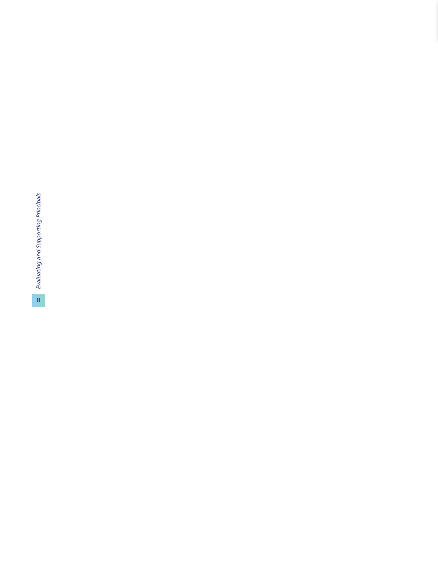*Evaluating and Sup porting Principals* evaluating and Supporting Principals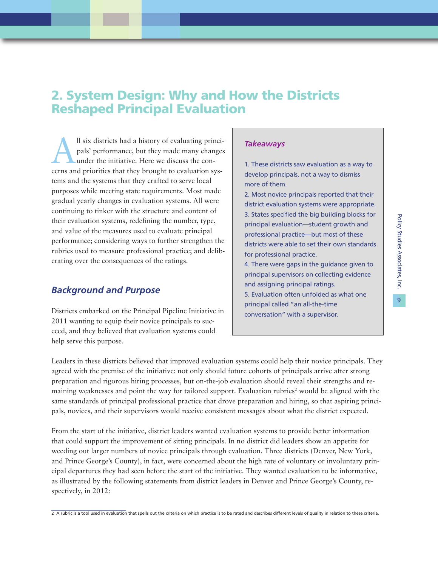# **2. System Design: Why and How the Districts Reshaped Principal Evaluation**

All six districts had <sup>a</sup> history of evaluating principals' performance, but they made many changes under the initiative. Here we discuss the concerns and priorities that they brought to evaluation systems and the systems that they crafted to serve local purposes while meeting state requirements. Most made gradual yearly changes in evaluation systems. All were continuing to tinker with the structure and content of their evaluation systems, redefining the number, type, and value of the measures used to evaluate principal performance; considering ways to further strengthen the rubrics used to measure professional practice; and deliberating over the consequences of the ratings.

## *Background and Purpose*

Districts embarked on the Principal Pipeline Initiative in 2011 wanting to equip their novice principals to succeed, and they believed that evaluation systems could help serve this purpose.

#### *Takeaways*

1. These districts saw evaluation as a way to develop principals, not a way to dismiss more of them.

2. Most novice principals reported that their district evaluation systems were appropriate. 3. States specified the big building blocks for principal evaluation—student growth and professional practice—but most of these districts were able to set their own standards for professional practice.

4. There were gaps in the guidance given to principal supervisors on collecting evidence and assigning principal ratings. 5. Evaluation often unfolded as what one principal called "an all-the-time conversation" with a supervisor.

Leaders in these districts believed that improved evaluation systems could help their novice principals. They agreed with the premise of the initiative: not only should future cohorts of principals arrive after strong preparation and rigorous hiring processes, but on-the-job evaluation should reveal their strengths and remaining weaknesses and point the way for tailored support. Evaluation rubrics<sup>2</sup> would be aligned with the same standards of principal professional practice that drove preparation and hiring, so that aspiring principals, novices, and their supervisors would receive consistent messages about what the district expected.

From the start of the initiative, district leaders wanted evaluation systems to provide better information that could support the improvement of sitting principals. In no district did leaders show an appetite for weeding out larger numbers of novice principals through evaluation. Three districts (Denver, New York, and Prince George's County), in fact, were concerned about the high rate of voluntary or involuntary principal departures they had seen before the start of the initiative. They wanted evaluation to be informative, as illustrated by the following statements from district leaders in Denver and Prince George's County, respectively, in 2012:

2 A rubric is a tool used in evaluation that spells out the criteria on which practice is to be rated and describes different levels of quality in relation to these criteria.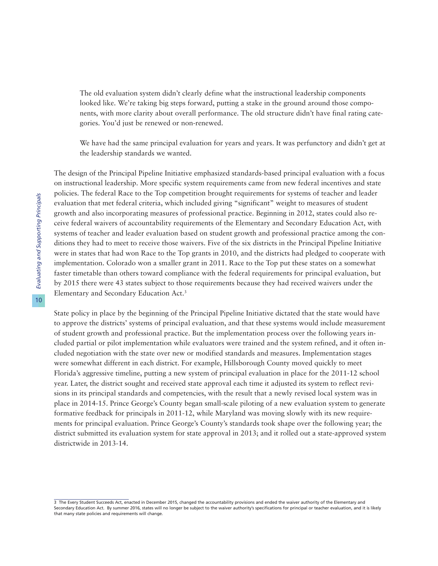The old evaluation system didn't clearly define what the instructional leadership components looked like. We're taking big steps forward, putting a stake in the ground around those components, with more clarity about overall performance. The old structure didn't have final rating categories. You'd just be renewed or non-renewed.

We have had the same principal evaluation for years and years. It was perfunctory and didn't get at the leadership standards we wanted.

The design of the Principal Pipeline Initiative emphasized standards-based principal evaluation with a focus on instructional leadership. More specific system requirements came from new federal incentives and state policies. The federal Race to the Top competition brought requirements for systems of teacher and leader evaluation that met federal criteria, which included giving "significant" weight to measures of student growth and also incorporating measures of professional practice. Beginning in 2012, states could also receive federal waivers of accountability requirements of the Elementary and Secondary Education Act, with systems of teacher and leader evaluation based on student growth and professional practice among the conditions they had to meet to receive those waivers. Five of the six districts in the Principal Pipeline Initiative were in states that had won Race to the Top grants in 2010, and the districts had pledged to cooperate with implementation. Colorado won a smaller grant in 2011. Race to the Top put these states on a somewhat faster timetable than others toward compliance with the federal requirements for principal evaluation, but by 2015 there were 43 states subject to those requirements because they had received waivers under the Elementary and Secondary Education Act. 3

State policy in place by the beginning of the Principal Pipeline Initiative dictated that the state would have to approve the districts' systems of principal evaluation, and that these systems would include measurement of student growth and professional practice. But the implementation process over the following years included partial or pilot implementation while evaluators were trained and the system refined, and it often included negotiation with the state over new or modified standards and measures. Implementation stages were somewhat different in each district. For example, Hillsborough County moved quickly to meet Florida's aggressive timeline, putting a new system of principal evaluation in place for the 2011-12 school year. Later, the district sought and received state approval each time it adjusted its system to reflect revisions in its principal standards and competencies, with the result that a newly revised local system was in place in 2014-15. Prince George's County began small-scale piloting of a new evaluation system to generate formative feedback for principals in 2011-12, while Maryland was moving slowly with its new requirements for principal evaluation. Prince George's County's standards took shape over the following year; the district submitted its evaluation system for state approval in 2013; and it rolled out a state-approved system districtwide in 2013-14.

<sup>3</sup> The Every Student Succeeds Act, enacted in December 2015, changed the accountability provisions and ended the waiver authority of the Elementary and Secondary Education Act. By summer 2016, states will no longer be subject to the waiver authority's specifications for principal or teacher evaluation, and it is likely that many state policies and requirements will change.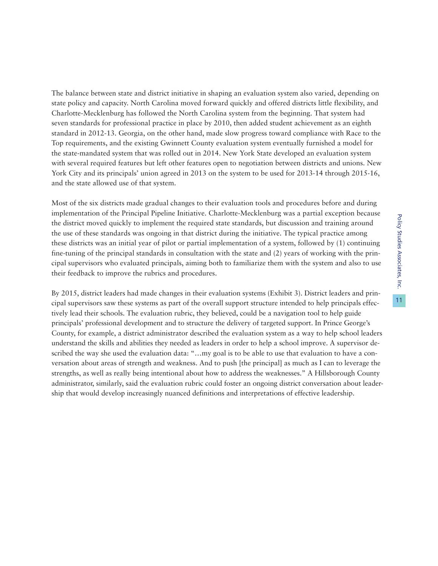The balance between state and district initiative in shaping an evaluation system also varied, depending on state policy and capacity. North Carolina moved forward quickly and offered districts little flexibility, and Charlotte-Mecklenburg has followed the North Carolina system from the beginning. That system had seven standards for professional practice in place by 2010, then added student achievement as an eighth standard in 2012-13. Georgia, on the other hand, made slow progress toward compliance with Race to the Top requirements, and the existing Gwinnett County evaluation system eventually furnished a model for the state-mandated system that was rolled out in 2014. New York State developed an evaluation system with several required features but left other features open to negotiation between districts and unions. New York City and its principals' union agreed in 2013 on the system to be used for 2013-14 through 2015-16, and the state allowed use of that system.

Most of the six districts made gradual changes to their evaluation tools and procedures before and during implementation of the Principal Pipeline Initiative. Charlotte-Mecklenburg was a partial exception because the district moved quickly to implement the required state standards, but discussion and training around the use of these standards was ongoing in that district during the initiative. The typical practice among these districts was an initial year of pilot or partial implementation of a system, followed by (1) continuing fine-tuning of the principal standards in consultation with the state and (2) years of working with the principal supervisors who evaluated principals, aiming both to familiarize them with the system and also to use their feedback to improve the rubrics and procedures.

By 2015, district leaders had made changes in their evaluation systems (Exhibit 3). District leaders and principal supervisors saw these systems as part of the overall support structure intended to help principals effectively lead their schools. The evaluation rubric, they believed, could be a navigation tool to help guide principals' professional development and to structure the delivery of targeted support. In Prince George's County, for example, a district administrator described the evaluation system as a way to help school leaders understand the skills and abilities they needed as leaders in order to help a school improve. A supervisor described the way she used the evaluation data: "...my goal is to be able to use that evaluation to have a conversation about areas of strength and weakness. And to push [the principal] as much as I can to leverage the strengths, as well as really being intentional about how to address the weaknesses." A Hillsborough County administrator, similarly, said the evaluation rubric could foster an ongoing district conversation about leadership that would develop increasingly nuanced definitions and interpretations of effective leadership.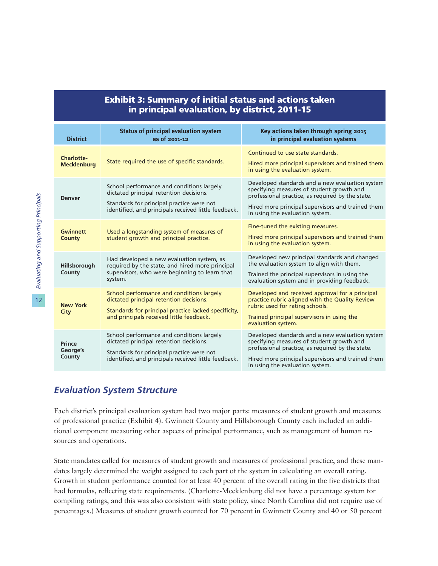| <b>Exhibit 3: Summary of initial status and actions taken</b> |                                                               |  |
|---------------------------------------------------------------|---------------------------------------------------------------|--|
|                                                               | $\,$ in principal evaluation, by district, 2011-15 $_{\rm f}$ |  |

| <b>District</b>                         | <b>Status of principal evaluation system</b><br>as of 2011-12                                                                                                                             | Key actions taken through spring 2015<br>in principal evaluation systems                                                                                                                                                                 |
|-----------------------------------------|-------------------------------------------------------------------------------------------------------------------------------------------------------------------------------------------|------------------------------------------------------------------------------------------------------------------------------------------------------------------------------------------------------------------------------------------|
| <b>Charlotte-</b><br><b>Mecklenburg</b> | State required the use of specific standards.                                                                                                                                             | Continued to use state standards.<br>Hired more principal supervisors and trained them<br>in using the evaluation system.                                                                                                                |
| <b>Denver</b>                           | School performance and conditions largely<br>dictated principal retention decisions.<br>Standards for principal practice were not<br>identified, and principals received little feedback. | Developed standards and a new evaluation system<br>specifying measures of student growth and<br>professional practice, as required by the state.<br>Hired more principal supervisors and trained them<br>in using the evaluation system. |
| Gwinnett<br>County                      | Used a longstanding system of measures of<br>student growth and principal practice.                                                                                                       | Fine-tuned the existing measures.<br>Hired more principal supervisors and trained them<br>in using the evaluation system.                                                                                                                |
| Hillsborough<br>County                  | Had developed a new evaluation system, as<br>required by the state, and hired more principal<br>supervisors, who were beginning to learn that<br>system.                                  | Developed new principal standards and changed<br>the evaluation system to align with them.<br>Trained the principal supervisors in using the<br>evaluation system and in providing feedback.                                             |
| <b>New York</b><br>City                 | School performance and conditions largely<br>dictated principal retention decisions.<br>Standards for principal practice lacked specificity,<br>and principals received little feedback.  | Developed and received approval for a principal<br>practice rubric aligned with the Quality Review<br>rubric used for rating schools.<br>Trained principal supervisors in using the<br>evaluation system.                                |
| Prince<br>George's<br>County            | School performance and conditions largely<br>dictated principal retention decisions.<br>Standards for principal practice were not<br>identified, and principals received little feedback. | Developed standards and a new evaluation system<br>specifying measures of student growth and<br>professional practice, as required by the state.<br>Hired more principal supervisors and trained them<br>in using the evaluation system. |

# *Evaluation System Structure*

Each district's principal evaluation system had two major parts: measures of student growth and measures of professional practice (Exhibit 4). Gwinnett County and Hillsborough County each included an additional component measuring other aspects of principal performance, such as management of human resources and operations.

State mandates called for measures of student growth and measures of professional practice, and these mandates largely determined the weight assigned to each part of the system in calculating an overall rating. Growth in student performance counted for at least 40 percent of the overall rating in the five districts that had formulas, reflecting state requirements. (Charlotte-Mecklenburg did not have a percentage system for compiling ratings, and this was also consistent with state policy, since North Carolina did not require use of percentages.) Measures of student growth counted for 70 percent in Gwinnett County and 40 or 50 percent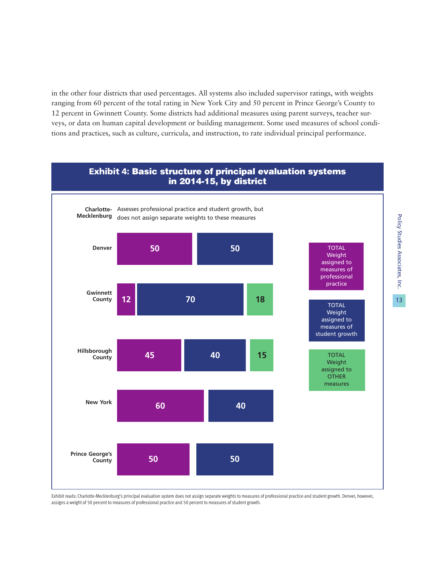in the other four districts that used percentages. All systems also included supervisor ratings, with weights ranging from 60 percent of the total rating in New York City and 50 percent in Prince George's County to 12 percent in Gwinnett County. Some districts had additional measures using parent surveys, teacher surveys, or data on human capital development or building management. Some used measures of school conditions and practices, such as culture, curricula, and instruction, to rate individual principal performance.



Studies

Associates,

Inc.

# **Exhibit 4: Basic structure of principal evaluation systems**

Exhibit reads: Charlotte-Mecklenburg's principal evaluation system does not assign separate weights to measures of professional practice and student growth. Denver, however, assigns a weight of 50 percent to measures of professional practice and 50 percent to measures of student growth.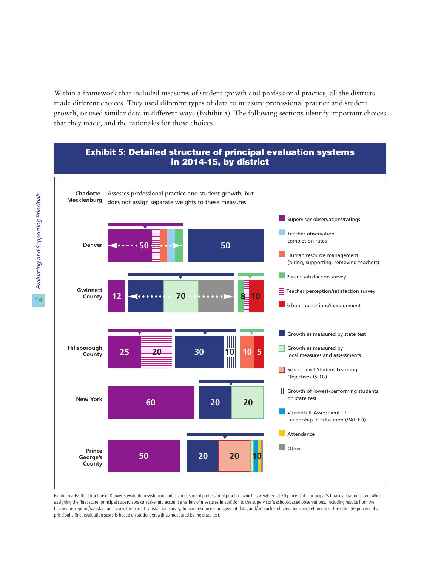Within a framework that included measures of student growth and professional practice, all the districts made different choices. They used different types of data to measure professional practice and student growth, or used similar data in different ways (Exhibit 5). The following sections identify important choices that they made, and the rationales for those choices.



Exhibit reads: The structure of Denver's evaluation system includes a measure of professional practice, which is weighted at 50 percent of a principal's final evaluation score. When assigning the final score, principal supervisors can take into account a variety of measures in addition to the supervisor's school-based observations, including results from the teacher perception/satisfaction survey, the parent satisfaction survey, human resource management data, and/or teacher observation completion rates. The other 50 percent of a principal's final evaluation score is based on student growth as measured by the state test.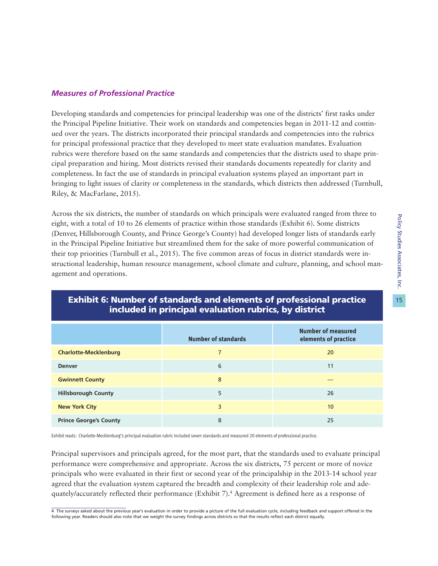#### *Measures of Professional Practice*

Developing standards and competencies for principal leadership was one of the districts' first tasks under the Principal Pipeline Initiative. Their work on standards and competencies began in 2011-12 and continued over the years. The districts incorporated their principal standards and competencies into the rubrics for principal professional practice that they developed to meet state evaluation mandates. Evaluation rubrics were therefore based on the same standards and competencies that the districts used to shape principal preparation and hiring. Most districts revised their standards documents repeatedly for clarity and completeness. In fact the use of standards in principal evaluation systems played an important part in bringing to light issues of clarity or completeness in the standards, which districts then addressed (Turnbull, Riley, & MacFarlane, 2015).

Across the six districts, the number of standards on which principals were evaluated ranged from three to eight, with a total of 10 to 26 elements of practice within those standards (Exhibit 6). Some districts (Denver, Hillsborough County, and Prince George's County) had developed longer lists of standards early in the Principal Pipeline Initiative but streamlined them for the sake of more powerful communication of their top priorities (Turnbull et al., 2015). The five common areas of focus in district standards were instructional leadership, human resource management, school climate and culture, planning, and school management and operations.

| . .                           | . .                        | . .                                               |
|-------------------------------|----------------------------|---------------------------------------------------|
|                               | <b>Number of standards</b> | <b>Number of measured</b><br>elements of practice |
| <b>Charlotte-Mecklenburg</b>  | 7                          | 20                                                |
| <b>Denver</b>                 | 6                          | 11                                                |
| <b>Gwinnett County</b>        | 8                          |                                                   |
| <b>Hillsborough County</b>    | 5                          | 26                                                |
| <b>New York City</b>          | 3                          | 10                                                |
| <b>Prince George's County</b> | 8                          | 25                                                |

## **Exhibit 6: Number of standards and elements of professional practice included in principal evaluation rubrics, by district**

Exhibit reads: Charlotte-Mecklenburg's principal evaluation rubricincluded seven standards and measured 20 elements of professional practice.

Principal supervisors and principals agreed, for the most part, that the standards used to evaluate principal performance were comprehensive and appropriate. Across the six districts, 75 percent or more of novice principals who were evaluated in their first or second year of the principalship in the 2013-14 school year agreed that the evaluation system captured the breadth and complexity of their leadership role and adequately/accurately reflected their performance (Exhibit 7). <sup>4</sup> Agreement is defined here as a response of

4 The surveys asked about the previous year's evaluation in order to provide a picture of the full evaluation cycle, including feedback and support offered in the following year. Readers should also note that we weight the survey findings across districts so that the results reflect each district equally.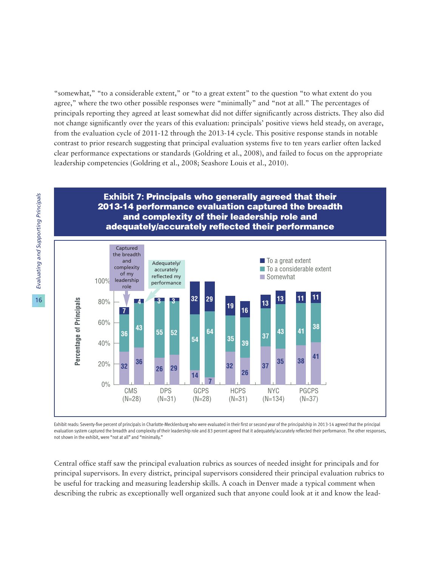"somewhat," "to a considerable extent," or "to a great extent" to the question "to what extent do you agree," where the two other possible responses were "minimally" and "not at all." The percentages of principals reporting they agreed at least somewhat did not differ significantly across districts. They also did not change significantly over the years of this evaluation: principals' positive views held steady, on average, from the evaluation cycle of 2011-12 through the 2013-14 cycle. This positive response stands in notable contrast to prior research suggesting that principal evaluation systems five to ten years earlier often lacked clear performance expectations or standards (Goldring et al., 2008), and failed to focus on the appropriate leadership competencies (Goldring et al., 2008; Seashore Louis et al., 2010).



Exhibit reads: Seventy-five percent of principals in Charlotte-Mecklenburg who were evaluated in their first or second year of the principalship in 2013-14 agreed that the principal evaluation system captured the breadth and complexity of their leadership role and 83 percent agreed that it adequately/accurately reflected their performance. The other responses, not shown in the exhibit, were "not at all" and "minimally."

Central office staff saw the principal evaluation rubrics as sources of needed insight for principals and for principal supervisors. In every district, principal supervisors considered their principal evaluation rubrics to be useful for tracking and measuring leadership skills. A coach in Denver made a typical comment when describing the rubric as exceptionally well organized such that anyone could look at it and know the lead-

Evaluating and Supporting Principals *porting Principals Evaluating and Sup*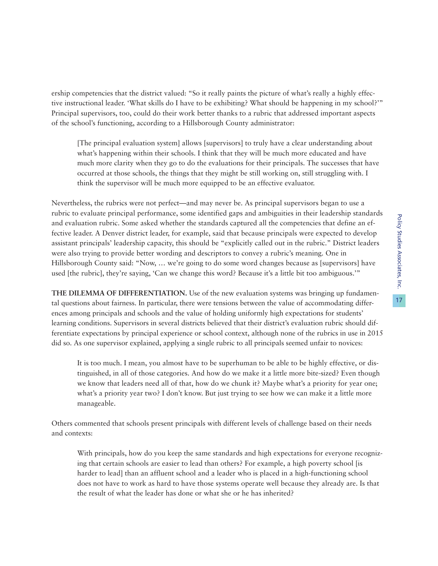ership competencies that the district valued: "So it really paints the picture of what's really a highly effective instructional leader. 'What skills do I have to be exhibiting? What should be happening in my school?'" Principal supervisors, too, could do their work better thanks to a rubric that addressed important aspects of the school's functioning, according to a Hillsborough County administrator:

[The principal evaluation system] allows [supervisors] to truly have a clear understanding about what's happening within their schools. I think that they will be much more educated and have much more clarity when they go to do the evaluations for their principals. The successes that have occurred at those schools, the things that they might be still working on, still struggling with. I think the supervisor will be much more equipped to be an effective evaluator.

Nevertheless, the rubrics were not perfect—and may never be. As principal supervisors began to use a rubric to evaluate principal performance, some identified gaps and ambiguities in their leadership standards and evaluation rubric. Some asked whether the standards captured all the competencies that define an effective leader. A Denver district leader, for example, said that because principals were expected to develop assistant principals' leadership capacity, this should be "explicitly called out in the rubric." District leaders were also trying to provide better wording and descriptors to convey a rubric's meaning. One in Hillsborough County said: "Now, … we're going to do some word changes because as [supervisors] have used [the rubric], they're saying, 'Can we change this word? Because it's a little bit too ambiguous.'"

**THE DILEMMA OF DIFFERENTIATION.** Use of the new evaluation systems was bringing up fundamental questions about fairness. In particular, there were tensions between the value of accommodating differences among principals and schools and the value of holding uniformly high expectations for students' learning conditions. Supervisors in several districts believed that their district's evaluation rubric should differentiate expectations by principal experience or school context, although none of the rubrics in use in 2015 did so. As one supervisor explained, applying a single rubric to all principals seemed unfair to novices:

It is too much. I mean, you almost have to be superhuman to be able to be highly effective, or distinguished, in all of those categories. And how do we make it a little more bite-sized? Even though we know that leaders need all of that, how do we chunk it? Maybe what's a priority for year one; what's a priority year two? I don't know. But just trying to see how we can make it a little more manageable.

Others commented that schools present principals with different levels of challenge based on their needs and contexts:

With principals, how do you keep the same standards and high expectations for everyone recognizing that certain schools are easier to lead than others? For example, a high poverty school [is harder to lead] than an affluent school and a leader who is placed in a high-functioning school does not have to work as hard to have those systems operate well because they already are. Is that the result of what the leader has done or what she or he has inherited?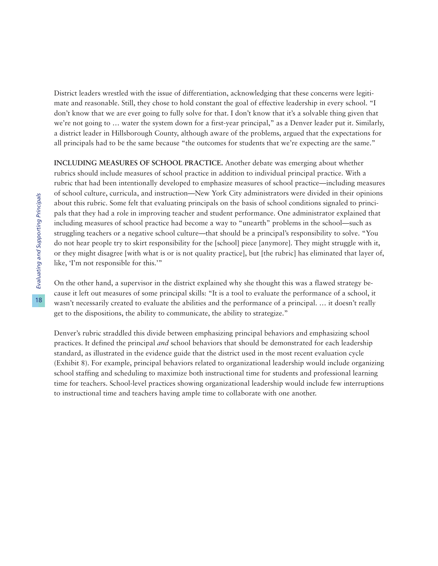District leaders wrestled with the issue of differentiation, acknowledging that these concerns were legitimate and reasonable. Still, they chose to hold constant the goal of effective leadership in every school. "I don't know that we are ever going to fully solve for that. I don't know that it's a solvable thing given that we're not going to … water the system down for a first-year principal," as a Denver leader put it. Similarly, a district leader in Hillsborough County, although aware of the problems, argued that the expectations for all principals had to be the same because "the outcomes for students that we're expecting are the same."

**INCLUDING MEASURES OF SCHOOL PRACTICE.** Another debate was emerging about whether rubrics should include measures of school practice in addition to individual principal practice. With a rubric that had been intentionally developed to emphasize measures of school practice—including measures of school culture, curricula, and instruction—New York City administrators were divided in their opinions about this rubric. Some felt that evaluating principals on the basis of school conditions signaled to principals that they had a role in improving teacher and student performance. One administrator explained that including measures of school practice had become a way to "unearth" problems in the school—such as struggling teachers or a negative school culture—that should be a principal's responsibility to solve. "You do not hear people try to skirt responsibility for the [school] piece [anymore]. They might struggle with it, or they might disagree [with what is or is not quality practice], but [the rubric] has eliminated that layer of, like, 'I'm not responsible for this.'"

On the other hand, a supervisor in the district explained why she thought this was a flawed strategy because it left out measures of some principal skills: "It is a tool to evaluate the performance of a school, it wasn't necessarily created to evaluate the abilities and the performance of a principal. … it doesn't really get to the dispositions, the ability to communicate, the ability to strategize."

Denver's rubric straddled this divide between emphasizing principal behaviors and emphasizing school practices. It defined the principal *and* school behaviors that should be demonstrated for each leadership standard, as illustrated in the evidence guide that the district used in the most recent evaluation cycle (Exhibit 8). For example, principal behaviors related to organizational leadership would include organizing school staffing and scheduling to maximize both instructional time for students and professional learning time for teachers. School-level practices showing organizational leadership would include few interruptions to instructional time and teachers having ample time to collaborate with one another.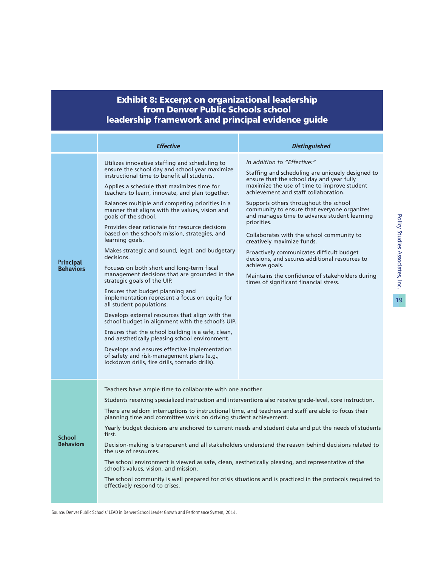## **Exhibit 8: Excerpt on organizational leadership from Denver Public Schools school leadership framework and principal evidence guide**

|                                   | <b>Effective</b>                                                                                                                                                                                                                                                                                                                                                                                                                                                                                                                                                                                                                                                                                                                                                                                                                                                                                                                                                                                                                                                                                                                                                                        | <b>Distinguished</b>                                                                                                                                                                                                                                                                                                                                                                                                                                                                                                                                                                                                                                                |
|-----------------------------------|-----------------------------------------------------------------------------------------------------------------------------------------------------------------------------------------------------------------------------------------------------------------------------------------------------------------------------------------------------------------------------------------------------------------------------------------------------------------------------------------------------------------------------------------------------------------------------------------------------------------------------------------------------------------------------------------------------------------------------------------------------------------------------------------------------------------------------------------------------------------------------------------------------------------------------------------------------------------------------------------------------------------------------------------------------------------------------------------------------------------------------------------------------------------------------------------|---------------------------------------------------------------------------------------------------------------------------------------------------------------------------------------------------------------------------------------------------------------------------------------------------------------------------------------------------------------------------------------------------------------------------------------------------------------------------------------------------------------------------------------------------------------------------------------------------------------------------------------------------------------------|
| Principal<br><b>Behaviors</b>     | Utilizes innovative staffing and scheduling to<br>ensure the school day and school year maximize<br>instructional time to benefit all students.<br>Applies a schedule that maximizes time for<br>teachers to learn, innovate, and plan together.<br>Balances multiple and competing priorities in a<br>manner that aligns with the values, vision and<br>goals of the school.<br>Provides clear rationale for resource decisions<br>based on the school's mission, strategies, and<br>learning goals.<br>Makes strategic and sound, legal, and budgetary<br>decisions.<br>Focuses on both short and long-term fiscal<br>management decisions that are grounded in the<br>strategic goals of the UIP.<br>Ensures that budget planning and<br>implementation represent a focus on equity for<br>all student populations.<br>Develops external resources that align with the<br>school budget in alignment with the school's UIP.<br>Ensures that the school building is a safe, clean,<br>and aesthetically pleasing school environment.<br>Develops and ensures effective implementation<br>of safety and risk-management plans (e.g.,<br>lockdown drills, fire drills, tornado drills). | In addition to "Effective:"<br>Staffing and scheduling are uniquely designed to<br>ensure that the school day and year fully<br>maximize the use of time to improve student<br>achievement and staff collaboration.<br>Supports others throughout the school<br>community to ensure that everyone organizes<br>and manages time to advance student learning<br>priorities.<br>Collaborates with the school community to<br>creatively maximize funds.<br>Proactively communicates difficult budget<br>decisions, and secures additional resources to<br>achieve goals.<br>Maintains the confidence of stakeholders during<br>times of significant financial stress. |
| <b>School</b><br><b>Behaviors</b> | Teachers have ample time to collaborate with one another.<br>There are seldom interruptions to instructional time, and teachers and staff are able to focus their<br>planning time and committee work on driving student achievement.<br>first.<br>the use of resources.<br>The school environment is viewed as safe, clean, aesthetically pleasing, and representative of the<br>school's values, vision, and mission.<br>effectively respond to crises.                                                                                                                                                                                                                                                                                                                                                                                                                                                                                                                                                                                                                                                                                                                               | Students receiving specialized instruction and interventions also receive grade-level, core instruction.<br>Yearly budget decisions are anchored to current needs and student data and put the needs of students<br>Decision-making is transparent and all stakeholders understand the reason behind decisions related to<br>The school community is well prepared for crisis situations and is practiced in the protocols required to                                                                                                                                                                                                                              |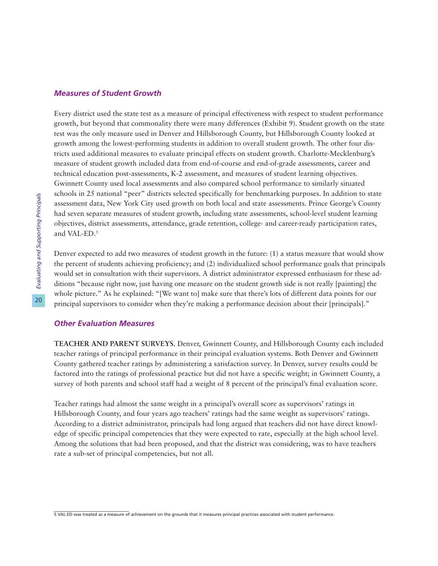#### *Measures of Student Growth*

Every district used the state test as a measure of principal effectiveness with respect to student performance growth, but beyond that commonality there were many differences (Exhibit 9). Student growth on the state test was the only measure used in Denver and Hillsborough County, but Hillsborough County looked at growth among the lowest-performing students in addition to overall student growth. The other four districts used additional measures to evaluate principal effects on student growth. Charlotte-Mecklenburg's measure of student growth included data from end-of-course and end-of-grade assessments, career and technical education post-assessments, K-2 assessment, and measures of student learning objectives. Gwinnett County used local assessments and also compared school performance to similarly situated schools in 25 national "peer" districts selected specifically for benchmarking purposes. In addition to state assessment data, New York City used growth on both local and state assessments. Prince George's County had seven separate measures of student growth, including state assessments, school-level student learning objectives, district assessments, attendance, grade retention, college- and career-ready participation rates, and VAL-ED. 5

Denver expected to add two measures of student growth in the future: (1) a status measure that would show the percent of students achieving proficiency; and (2) individualized school performance goals that principals would set in consultation with their supervisors. A district administrator expressed enthusiasm for these additions "because right now, just having one measure on the student growth side is not really [painting] the whole picture." As he explained: "[We want to] make sure that there's lots of different data points for our principal supervisors to consider when they're making a performance decision about their [principals]."

#### *Other Evaluation Measures*

**TEACHER AND PARENT SURVEYS.** Denver, Gwinnett County, and Hillsborough County each included teacher ratings of principal performance in their principal evaluation systems. Both Denver and Gwinnett County gathered teacher ratings by administering a satisfaction survey. In Denver, survey results could be factored into the ratings of professional practice but did not have a specific weight; in Gwinnett County, a survey of both parents and school staff had a weight of 8 percent of the principal's final evaluation score.

Teacher ratings had almost the same weight in a principal's overall score as supervisors' ratings in Hillsborough County, and four years ago teachers' ratings had the same weight as supervisors' ratings. According to a district administrator, principals had long argued that teachers did not have direct knowledge of specific principal competencies that they were expected to rate, especially at the high school level. Among the solutions that had been proposed, and that the district was considering, was to have teachers rate a sub-set of principal competencies, but not all.

<sup>5</sup> VAL-ED was treated as a measure of achievement on the grounds that it measures principal practices associated with student performance.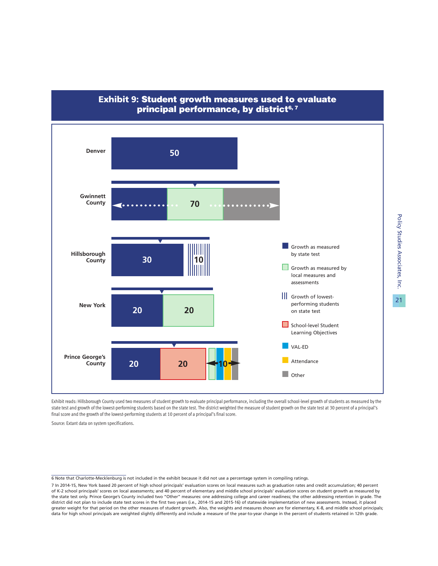## **Exhibit 9: Student growth measures used to evaluate principal performance, by district6, <sup>7</sup>**



Exhibit reads: Hillsborough County used two measures of student growth to evaluate principal performance, including the overall school-level growth of students as measured by the state test and growth of the lowest-performing students based on the state test. The district weighted the measure of student growth on the state test at 30 percent of a principal's final score and the growth of the lowest-performing students at 10 percent of a principal's final score.

Source: Extant data on system specifications.

<sup>6</sup> Note that Charlotte-Mecklenburg is not included in the exhibit because it did not use a percentage system in compiling ratings.

<sup>7</sup> In 2014-15, New York based 20 percent of high school principals' evaluation scores on local measures such as graduation rates and credit accumulation; 40 percent of K-2 school principals' scores on local assessments; and 40 percent of elementary and middle school principals' evaluation scores on student growth as measured by the state test only. Prince George's County included two "Other" measures: one addressing college and career readiness; the other addressing retention in grade. The district did not plan to include state test scores in the first two years (i.e., 2014-15 and 2015-16) of statewide implementation of new assessments. Instead, it placed greater weight for that period on the other measures of student growth. Also, the weights and measures shown are for elementary, K-8, and middle school principals; data for high school principals are weighted slightly differently and include a measure of the year-to-year change in the percent of students retained in 12th grade.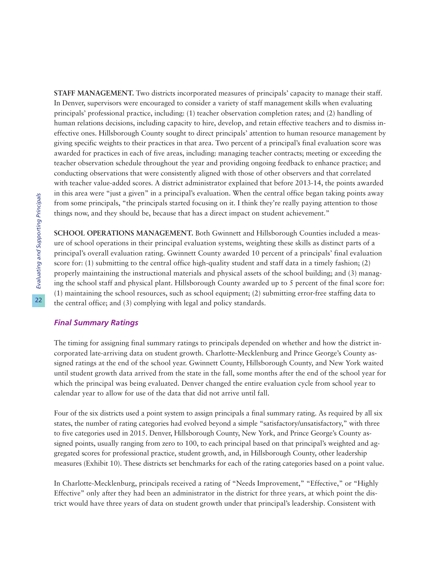**STAFF MANAGEMENT.** Two districts incorporated measures of principals' capacity to manage their staff. In Denver, supervisors were encouraged to consider a variety of staff management skills when evaluating principals' professional practice, including: (1) teacher observation completion rates; and (2) handling of human relations decisions, including capacity to hire, develop, and retain effective teachers and to dismiss ineffective ones. Hillsborough County sought to direct principals' attention to human resource management by giving specific weights to their practices in that area. Two percent of a principal's final evaluation score was awarded for practices in each of five areas, including: managing teacher contracts; meeting or exceeding the teacher observation schedule throughout the year and providing ongoing feedback to enhance practice; and conducting observations that were consistently aligned with those of other observers and that correlated with teacher value-added scores. A district administrator explained that before 2013-14, the points awarded in this area were "just a given" in a principal's evaluation. When the central office began taking points away from some principals, "the principals started focusing on it. I think they're really paying attention to those things now, and they should be, because that has a direct impact on student achievement."

**SCHOOL OPERATIONS MANAGEMENT.** Both Gwinnett and Hillsborough Counties included a measure of school operations in their principal evaluation systems, weighting these skills as distinct parts of a principal's overall evaluation rating. Gwinnett County awarded 10 percent of a principals' final evaluation score for: (1) submitting to the central office high-quality student and staff data in a timely fashion; (2) properly maintaining the instructional materials and physical assets of the school building; and (3) managing the school staff and physical plant. Hillsborough County awarded up to 5 percent of the final score for: (1) maintaining the school resources, such as school equipment; (2) submitting error-free staffing data to the central office; and (3) complying with legal and policy standards.

#### *Final Summary Ratings*

The timing for assigning final summary ratings to principals depended on whether and how the district incorporated late-arriving data on student growth. Charlotte-Mecklenburg and Prince George's County assigned ratings at the end of the school year. Gwinnett County, Hillsborough County, and New York waited until student growth data arrived from the state in the fall, some months after the end of the school year for which the principal was being evaluated. Denver changed the entire evaluation cycle from school year to calendar year to allow for use of the data that did not arrive until fall.

Four of the six districts used a point system to assign principals a final summary rating. As required by all six states, the number of rating categories had evolved beyond a simple "satisfactory/unsatisfactory," with three to five categories used in 2015. Denver, Hillsborough County, New York, and Prince George's County assigned points, usually ranging from zero to 100, to each principal based on that principal's weighted and aggregated scores for professional practice, student growth, and, in Hillsborough County, other leadership measures (Exhibit 10). These districts set benchmarks for each of the rating categories based on a point value.

In Charlotte-Mecklenburg, principals received a rating of "Needs Improvement," "Effective," or "Highly Effective" only after they had been an administrator in the district for three years, at which point the district would have three years of data on student growth under that principal's leadership. Consistent with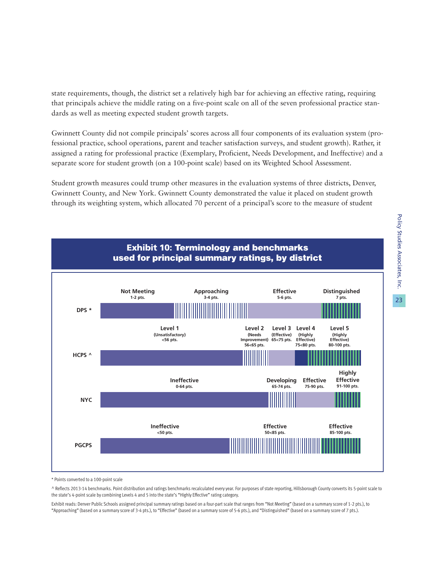state requirements, though, the district set a relatively high bar for achieving an effective rating, requiring that principals achieve the middle rating on a five-point scale on all of the seven professional practice standards as well as meeting expected student growth targets.

Gwinnett County did not compile principals' scores across all four components of its evaluation system (professional practice, school operations, parent and teacher satisfaction surveys, and student growth). Rather, it assigned a rating for professional practice (Exemplary, Proficient, Needs Development, and Ineffective) and a separate score for student growth (on a 100-point scale) based on its Weighted School Assessment.

Student growth measures could trump other measures in the evaluation systems of three districts, Denver, Gwinnett County, and New York. Gwinnett County demonstrated the value it placed on student growth through its weighting system, which allocated 70 percent of a principal's score to the measure of student



\* Points converted to a 100-point scale

^ Reflects 2013-14 benchmarks. Point distribution and ratings benchmarks recalculated everyyear. For purposes of state reporting, Hillsborough Countyconverts its 5-point scale to the state's 4-point scale by combining Levels 4 and 5 into the state's "Highly Effective" rating category.

Exhibit reads: Denver Public Schools assigned principal summary ratings based on a four-part scale that ranges from "Not Meeting" (based on a summary score of 1-2 pts.), to "Approaching" (based on a summary score of 3-4 pts.), to "Effective" (based on a summary score of 5-6 pts.), and "Distinguished" (based on a summary score of 7 pts.).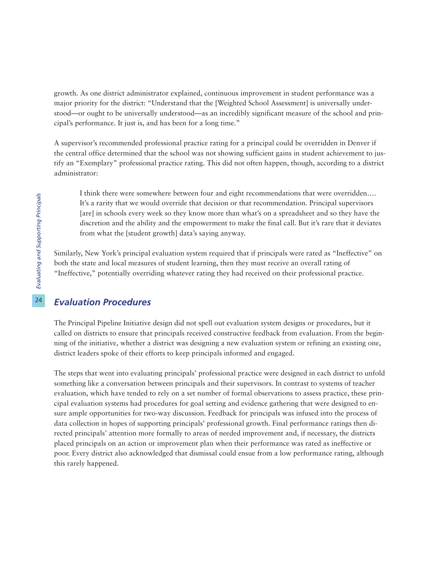growth. As one district administrator explained, continuous improvement in student performance was a major priority for the district: "Understand that the [Weighted School Assessment] is universally understood—or ought to be universally understood—as an incredibly significant measure of the school and principal's performance. It just is, and has been for a long time."

A supervisor's recommended professional practice rating for a principal could be overridden in Denver if the central office determined that the school was not showing sufficient gains in student achievement to justify an "Exemplary" professional practice rating. This did not often happen, though, according to a district administrator:

I think there were somewhere between four and eight recommendations that were overridden…. It's a rarity that we would override that decision or that recommendation. Principal supervisors [are] in schools every week so they know more than what's on a spreadsheet and so they have the discretion and the ability and the empowerment to make the final call. But it's rare that it deviates from what the [student growth] data's saying anyway.

Similarly, New York's principal evaluation system required that if principals were rated as "Ineffective" on both the state and local measures of student learning, then they must receive an overall rating of "Ineffective," potentially overriding whatever rating they had received on their professional practice.

## *Evaluation Procedures*

The Principal Pipeline Initiative design did not spell out evaluation system designs or procedures, but it called on districts to ensure that principals received constructive feedback from evaluation. From the beginning of the initiative, whether a district was designing a new evaluation system or refining an existing one, district leaders spoke of their efforts to keep principals informed and engaged.

The steps that went into evaluating principals' professional practice were designed in each district to unfold something like a conversation between principals and their supervisors. In contrast to systems of teacher evaluation, which have tended to rely on a set number of formal observations to assess practice, these principal evaluation systems had procedures for goal setting and evidence gathering that were designed to ensure ample opportunities for two-way discussion. Feedback for principals was infused into the process of data collection in hopes of supporting principals' professional growth. Final performance ratings then directed principals' attention more formally to areas of needed improvement and, if necessary, the districts placed principals on an action or improvement plan when their performance was rated as ineffective or poor. Every district also acknowledged that dismissal could ensue from a low performance rating, although this rarely happened.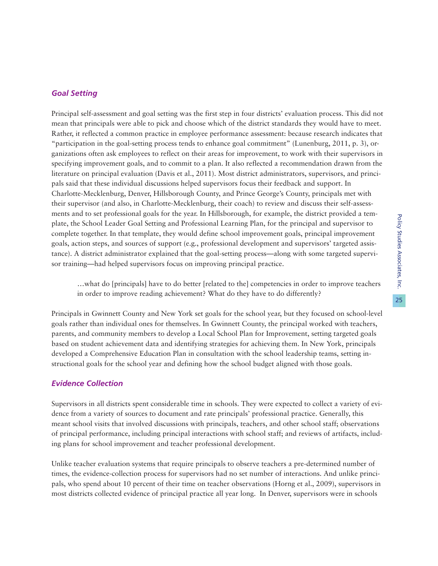#### *Goal Setting*

Principal self-assessment and goal setting was the first step in four districts' evaluation process. This did not mean that principals were able to pick and choose which of the district standards they would have to meet. Rather, it reflected a common practice in employee performance assessment: because research indicates that "participation in the goal-setting process tends to enhance goal commitment" (Lunenburg, 2011, p. 3), organizations often ask employees to reflect on their areas for improvement, to work with their supervisors in specifying improvement goals, and to commit to a plan. It also reflected a recommendation drawn from the literature on principal evaluation (Davis et al., 2011). Most district administrators, supervisors, and principals said that these individual discussions helped supervisors focus their feedback and support. In Charlotte-Mecklenburg, Denver, Hillsborough County, and Prince George's County, principals met with their supervisor (and also, in Charlotte-Mecklenburg, their coach) to review and discuss their self-assessments and to set professional goals for the year. In Hillsborough, for example, the district provided a template, the School Leader Goal Setting and Professional Learning Plan, for the principal and supervisor to complete together. In that template, they would define school improvement goals, principal improvement goals, action steps, and sources of support (e.g., professional development and supervisors' targeted assistance). A district administrator explained that the goal-setting process—along with some targeted supervisor training—had helped supervisors focus on improving principal practice.

…what do [principals] have to do better [related to the] competencies in order to improve teachers in order to improve reading achievement? What do they have to do differently?

Principals in Gwinnett County and New York set goals for the school year, but they focused on school-level goals rather than individual ones for themselves. In Gwinnett County, the principal worked with teachers, parents, and community members to develop a Local School Plan for Improvement, setting targeted goals based on student achievement data and identifying strategies for achieving them. In New York, principals developed a Comprehensive Education Plan in consultation with the school leadership teams, setting instructional goals for the school year and defining how the school budget aligned with those goals.

#### *Evidence Collection*

Supervisors in all districts spent considerable time in schools. They were expected to collect a variety of evidence from a variety of sources to document and rate principals' professional practice. Generally, this meant school visits that involved discussions with principals, teachers, and other school staff; observations of principal performance, including principal interactions with school staff; and reviews of artifacts, including plans for school improvement and teacher professional development.

Unlike teacher evaluation systems that require principals to observe teachers a pre-determined number of times, the evidence-collection process for supervisors had no set number of interactions. And unlike principals, who spend about 10 percent of their time on teacher observations (Horng et al., 2009), supervisors in most districts collected evidence of principal practice all year long. In Denver, supervisors were in schools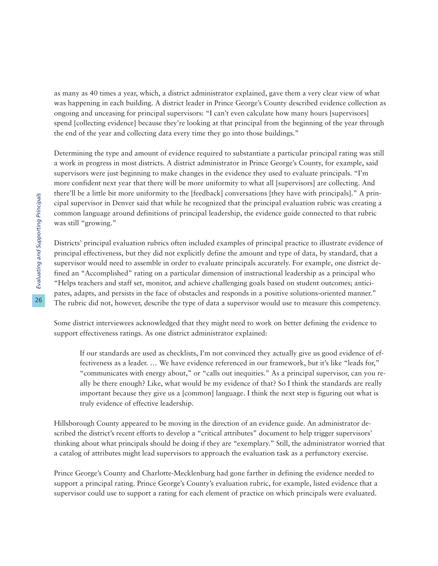as many as 40 times a year, which, a district administrator explained, gave them a very clear view of what was happening in each building. A district leader in Prince George's County described evidence collection as ongoing and unceasing for principal supervisors: "I can't even calculate how many hours [supervisors] spend [collecting evidence] because they're looking at that principal from the beginning of the year through the end of the year and collecting data every time they go into those buildings."

Determining the type and amount of evidence required to substantiate a particular principal rating was still a work in progress in most districts. A district administrator in Prince George's County, for example, said supervisors were just beginning to make changes in the evidence they used to evaluate principals. "I'm more confident next year that there will be more uniformity to what all [supervisors] are collecting. And there'll be a little bit more uniformity to the [feedback] conversations [they have with principals]." A principal supervisor in Denver said that while he recognized that the principal evaluation rubric was creating a common language around definitions of principal leadership, the evidence guide connected to that rubric was still "growing."

Districts' principal evaluation rubrics often included examples of principal practice to illustrate evidence of principal effectiveness, but they did not explicitly define the amount and type of data, by standard, that a supervisor would need to assemble in order to evaluate principals accurately. For example, one district defined an "Accomplished" rating on a particular dimension of instructional leadership as a principal who "Helps teachers and staff set, monitor, and achieve challenging goals based on student outcomes; anticipates, adapts, and persists in the face of obstacles and responds in a positive solutions-oriented manner." The rubric did not, however, describe the type of data a supervisor would use to measure this competency.

Some district interviewees acknowledged that they might need to work on better defining the evidence to support effectiveness ratings. As one district administrator explained:

If our standards are used as checklists, I'm not convinced they actually give us good evidence of effectiveness as a leader. … We have evidence referenced in our framework, but it's like "leads for," "communicates with energy about," or "calls out inequities." As a principal supervisor, can you really be there enough? Like, what would be my evidence of that? So I think the standards are really important because they give us a [common] language. I think the next step is figuring out what is truly evidence of effective leadership.

Hillsborough County appeared to be moving in the direction of an evidence guide. An administrator described the district's recent efforts to develop a "critical attributes" document to help trigger supervisors' thinking about what principals should be doing if they are "exemplary." Still, the administrator worried that a catalog of attributes might lead supervisors to approach the evaluation task as a perfunctory exercise.

Prince George's County and Charlotte-Mecklenburg had gone farther in defining the evidence needed to support a principal rating. Prince George's County's evaluation rubric, for example, listed evidence that a supervisor could use to support a rating for each element of practice on which principals were evaluated.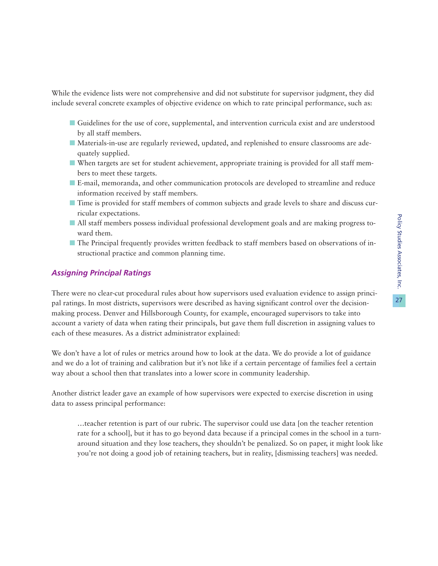While the evidence lists were not comprehensive and did not substitute for supervisor judgment, they did include several concrete examples of objective evidence on which to rate principal performance, such as:

- Guidelines for the use of core, supplemental, and intervention curricula exist and are understood by all staff members.
- Materials-in-use are regularly reviewed, updated, and replenished to ensure classrooms are adequately supplied.
- When targets are set for student achievement, appropriate training is provided for all staff members to meet these targets.
- E-mail, memoranda, and other communication protocols are developed to streamline and reduce information received by staff members.
- Time is provided for staff members of common subjects and grade levels to share and discuss curricular expectations.
- All staff members possess individual professional development goals and are making progress toward them.
- The Principal frequently provides written feedback to staff members based on observations of instructional practice and common planning time.

#### *Assigning Principal Ratings*

There were no clear-cut procedural rules about how supervisors used evaluation evidence to assign principal ratings. In most districts, supervisors were described as having significant control over the decisionmaking process. Denver and Hillsborough County, for example, encouraged supervisors to take into account a variety of data when rating their principals, but gave them full discretion in assigning values to each of these measures. As a district administrator explained:

We don't have a lot of rules or metrics around how to look at the data. We do provide a lot of guidance and we do a lot of training and calibration but it's not like if a certain percentage of families feel a certain way about a school then that translates into a lower score in community leadership.

Another district leader gave an example of how supervisors were expected to exercise discretion in using data to assess principal performance:

…teacher retention is part of our rubric. The supervisor could use data [on the teacher retention rate for a school], but it has to go beyond data because if a principal comes in the school in a turnaround situation and they lose teachers, they shouldn't be penalized. So on paper, it might look like you're not doing a good job of retaining teachers, but in reality, [dismissing teachers] was needed.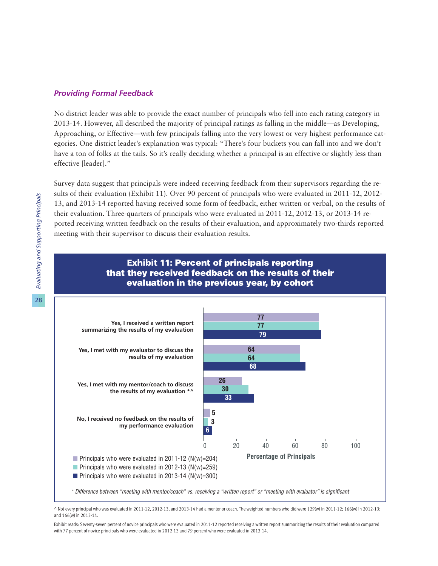#### *Providing Formal Feedback*

No district leader was able to provide the exact number of principals who fell into each rating category in 2013-14. However, all described the majority of principal ratings as falling in the middle—as Developing, Approaching, or Effective—with few principals falling into the very lowest or very highest performance categories. One district leader's explanation was typical: "There's four buckets you can fall into and we don't have a ton of folks at the tails. So it's really deciding whether a principal is an effective or slightly less than effective [leader]."

Survey data suggest that principals were indeed receiving feedback from their supervisors regarding the results of their evaluation (Exhibit 11). Over 90 percent of principals who were evaluated in 2011-12, 2012- 13, and 2013-14 reported having received some form of feedback, either written or verbal, on the results of their evaluation. Three-quarters of principals who were evaluated in 2011-12, 2012-13, or 2013-14 reported receiving written feedback on the results of their evaluation, and approximately two-thirds reported meeting with their supervisor to discuss their evaluation results.



^ Not every principal who was evaluated in 2011-12, 2012-13, and 2013-14 had a mentor orcoach. The weighted numbers who did were 129(w) in 2011-12; 166(w) in 2012-13; and 166(w) in 2013-14.

Exhibit reads: Seventy-seven percent of novice principals who were evaluated in 2011-12 reported receiving a written report summarizing the results of their evaluation compared with 77 percent of novice principals who were evaluated in 2012-13 and 79 percent who were evaluated in 2013-14.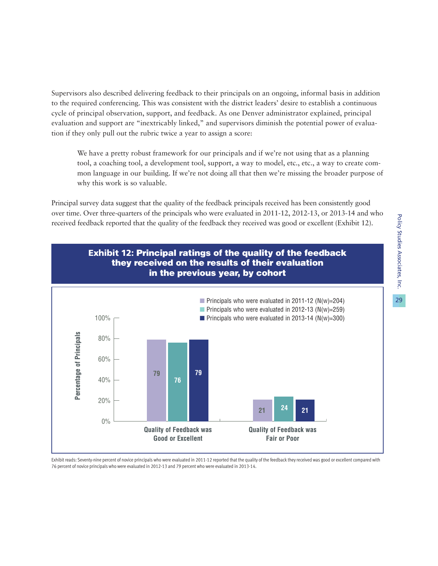Supervisors also described delivering feedback to their principals on an ongoing, informal basis in addition to the required conferencing. This was consistent with the district leaders' desire to establish a continuous cycle of principal observation, support, and feedback. As one Denver administrator explained, principal evaluation and support are "inextricably linked," and supervisors diminish the potential power of evaluation if they only pull out the rubric twice a year to assign a score:

We have a pretty robust framework for our principals and if we're not using that as a planning tool, a coaching tool, a development tool, support, a way to model, etc., etc., a way to create common language in our building. If we're not doing all that then we're missing the broader purpose of why this work is so valuable.

Principal survey data suggest that the quality of the feedback principals received has been consistently good over time. Over three-quarters of the principals who were evaluated in 2011-12, 2012-13, or 2013-14 and who received feedback reported that the quality of the feedback they received was good or excellent (Exhibit 12).



Exhibit reads: Seventy-nine percent of novice principals who were evaluated in 2011-12 reported that the quality of the feedback they received was good or excellent compared with 76 percent of novice principals who were evaluated in 2012-13 and 79 percent who were evaluated in 2013-14.

29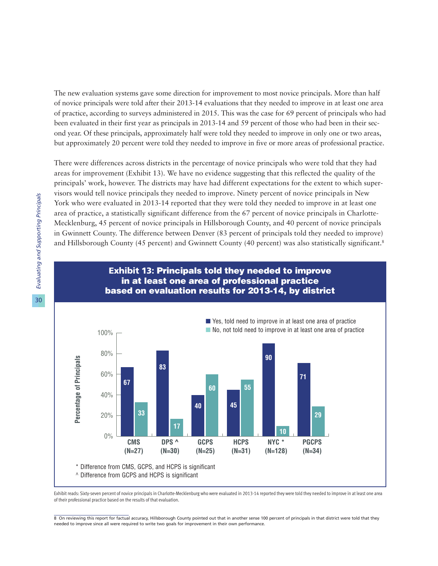The new evaluation systems gave some direction for improvement to most novice principals. More than half of novice principals were told after their 2013-14 evaluations that they needed to improve in at least one area of practice, according to surveys administered in 2015. This was the case for 69 percent of principals who had been evaluated in their first year as principals in 2013-14 and 59 percent of those who had been in their second year. Of these principals, approximately half were told they needed to improve in only one or two areas, but approximately 20 percent were told they needed to improve in five or more areas of professional practice.

There were differences across districts in the percentage of novice principals who were told that they had areas for improvement (Exhibit 13). We have no evidence suggesting that this reflected the quality of the principals' work, however. The districts may have had different expectations for the extent to which supervisors would tell novice principals they needed to improve. Ninety percent of novice principals in New York who were evaluated in 2013-14 reported that they were told they needed to improve in at least one area of practice, a statistically significant difference from the 67 percent of novice principals in Charlotte-Mecklenburg, 45 percent of novice principals in Hillsborough County, and 40 percent of novice principals in Gwinnett County. The difference between Denver (83 percent of principals told they needed to improve) and Hillsborough County (45 percent) and Gwinnett County (40 percent) was also statistically significant. 8



Exhibit reads: Sixty-seven percent of novice principals in Charlotte-Mecklenburg who were evaluated in 2013-14 reported they were told they needed to improve in at least one area of their professional practice based on the results of that evaluation.

8 On reviewing this report for factual accuracy, Hillsborough County pointed out that in another sense 100 percent of principals in that district were told that they needed to improve since all were required to write two goals for improvement in their own performance.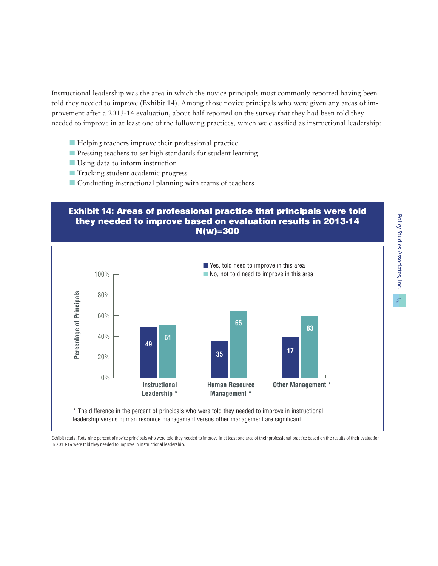Instructional leadership was the area in which the novice principals most commonly reported having been told they needed to improve (Exhibit 14). Among those novice principals who were given any areas of improvement after a 2013-14 evaluation, about half reported on the survey that they had been told they needed to improve in at least one of the following practices, which we classified as instructional leadership:

- Helping teachers improve their professional practice
- Pressing teachers to set high standards for student learning
- Using data to inform instruction
- Tracking student academic progress
- Conducting instructional planning with teams of teachers

#### **Exhibit 14: Areas of professional practice that principals were told they needed to improve based on evaluation results in 2013-14 N(w)=300**



Exhibit reads: Forty-nine percent of novice principals who were told they needed to improve in at least one area of their professional practice based on the results of their evaluation in 2013-14 were told they needed to improve in instructional leadership.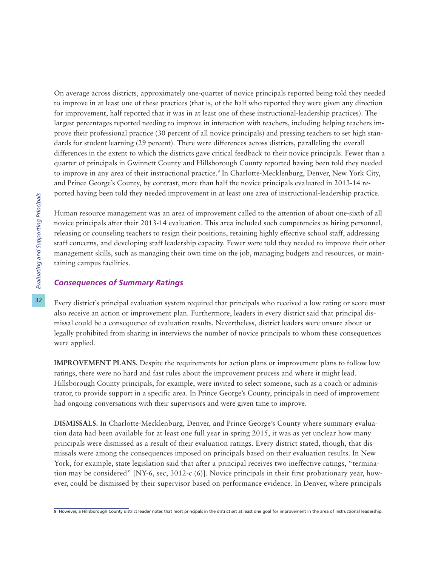On average across districts, approximately one-quarter of novice principals reported being told they needed to improve in at least one of these practices (that is, of the half who reported they were given any direction for improvement, half reported that it was in at least one of these instructional-leadership practices). The largest percentages reported needing to improve in interaction with teachers, including helping teachers improve their professional practice (30 percent of all novice principals) and pressing teachers to set high standards for student learning (29 percent). There were differences across districts, paralleling the overall differences in the extent to which the districts gave critical feedback to their novice principals. Fewer than a quarter of principals in Gwinnett County and Hillsborough County reported having been told they needed to improve in any area of their instructional practice. <sup>9</sup> In Charlotte-Mecklenburg, Denver, New York City, and Prince George's County, by contrast, more than half the novice principals evaluated in 2013-14 reported having been told they needed improvement in at least one area of instructional-leadership practice.

Human resource management was an area of improvement called to the attention of about one-sixth of all novice principals after their 2013-14 evaluation. This area included such competencies as hiring personnel, releasing or counseling teachers to resign their positions, retaining highly effective school staff, addressing staff concerns, and developing staff leadership capacity. Fewer were told they needed to improve their other management skills, such as managing their own time on the job, managing budgets and resources, or maintaining campus facilities.

#### *Consequences of Summary Ratings*

Every district's principal evaluation system required that principals who received a low rating or score must also receive an action or improvement plan. Furthermore, leaders in every district said that principal dismissal could be a consequence of evaluation results. Nevertheless, district leaders were unsure about or legally prohibited from sharing in interviews the number of novice principals to whom these consequences were applied.

**IMPROVEMENT PLANS.** Despite the requirements for action plans or improvement plans to follow low ratings, there were no hard and fast rules about the improvement process and where it might lead. Hillsborough County principals, for example, were invited to select someone, such as a coach or administrator, to provide support in a specific area. In Prince George's County, principals in need of improvement had ongoing conversations with their supervisors and were given time to improve.

**DISMISSALS.** In Charlotte-Mecklenburg, Denver, and Prince George's County where summary evaluation data had been available for at least one full year in spring 2015, it was as yet unclear how many principals were dismissed as a result of their evaluation ratings. Every district stated, though, that dismissals were among the consequences imposed on principals based on their evaluation results. In New York, for example, state legislation said that after a principal receives two ineffective ratings, "termination may be considered" [NY-6, sec, 3012-c (6)]. Novice principals in their first probationary year, however, could be dismissed by their supervisor based on performance evidence. In Denver, where principals

<sup>9</sup> However, a Hillsborough County district leader notes that most principals in the district set at least one goal for improvement in the area of instructional leadership.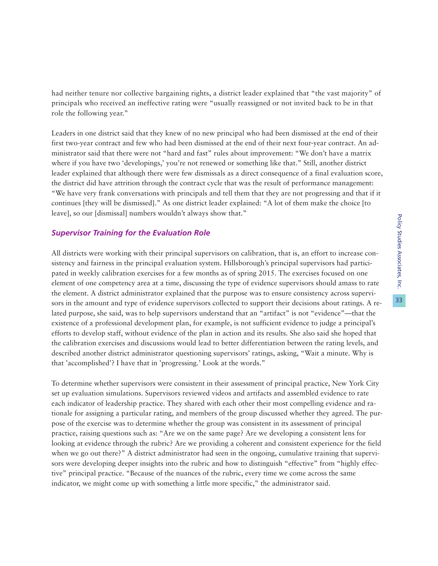33

had neither tenure nor collective bargaining rights, a district leader explained that "the vast majority" of principals who received an ineffective rating were "usually reassigned or not invited back to be in that role the following year."

Leaders in one district said that they knew of no new principal who had been dismissed at the end of their first two-year contract and few who had been dismissed at the end of their next four-year contract. An administrator said that there were not "hard and fast" rules about improvement: "We don't have a matrix where if you have two 'developings,' you're not renewed or something like that." Still, another district leader explained that although there were few dismissals as a direct consequence of a final evaluation score, the district did have attrition through the contract cycle that was the result of performance management: "We have very frank conversations with principals and tell them that they are not progressing and that if it continues [they will be dismissed]." As one district leader explained: "A lot of them make the choice [to leave], so our [dismissal] numbers wouldn't always show that."

#### *Supervisor Training for the Evaluation Role*

All districts were working with their principal supervisors on calibration, that is, an effort to increase consistency and fairness in the principal evaluation system. Hillsborough's principal supervisors had participated in weekly calibration exercises for a few months as of spring 2015. The exercises focused on one element of one competency area at a time, discussing the type of evidence supervisors should amass to rate the element. A district administrator explained that the purpose was to ensure consistency across supervisors in the amount and type of evidence supervisors collected to support their decisions about ratings. A related purpose, she said, was to help supervisors understand that an "artifact" is not "evidence"—that the existence of a professional development plan, for example, is not sufficient evidence to judge a principal's efforts to develop staff, without evidence of the plan in action and its results. She also said she hoped that the calibration exercises and discussions would lead to better differentiation between the rating levels, and described another district administrator questioning supervisors' ratings, asking, "Wait a minute. Why is that 'accomplished'? I have that in 'progressing.' Look at the words."

To determine whether supervisors were consistent in their assessment of principal practice, New York City set up evaluation simulations. Supervisors reviewed videos and artifacts and assembled evidence to rate each indicator of leadership practice. They shared with each other their most compelling evidence and rationale for assigning a particular rating, and members of the group discussed whether they agreed. The purpose of the exercise was to determine whether the group was consistent in its assessment of principal practice, raising questions such as: "Are we on the same page? Are we developing a consistent lens for looking at evidence through the rubric? Are we providing a coherent and consistent experience for the field when we go out there?" A district administrator had seen in the ongoing, cumulative training that supervisors were developing deeper insights into the rubric and how to distinguish "effective" from "highly effective" principal practice. "Because of the nuances of the rubric, every time we come across the same indicator, we might come up with something a little more specific," the administrator said.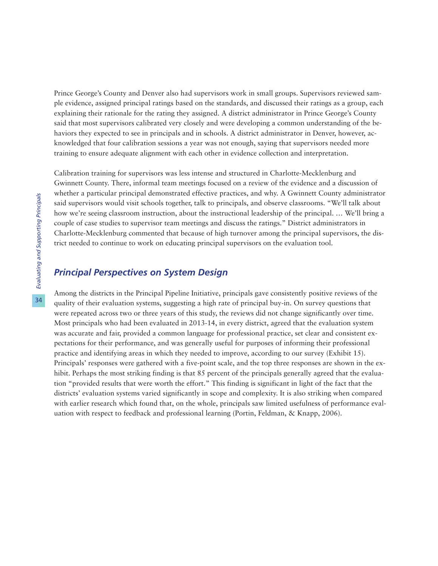Prince George's County and Denver also had supervisors work in small groups. Supervisors reviewed sample evidence, assigned principal ratings based on the standards, and discussed their ratings as a group, each explaining their rationale for the rating they assigned. A district administrator in Prince George's County said that most supervisors calibrated very closely and were developing a common understanding of the behaviors they expected to see in principals and in schools. A district administrator in Denver, however, acknowledged that four calibration sessions a year was not enough, saying that supervisors needed more training to ensure adequate alignment with each other in evidence collection and interpretation.

Calibration training for supervisors was less intense and structured in Charlotte-Mecklenburg and Gwinnett County. There, informal team meetings focused on a review of the evidence and a discussion of whether a particular principal demonstrated effective practices, and why. A Gwinnett County administrator said supervisors would visit schools together, talk to principals, and observe classrooms. "We'll talk about how we're seeing classroom instruction, about the instructional leadership of the principal. … We'll bring a couple of case studies to supervisor team meetings and discuss the ratings." District administrators in Charlotte-Mecklenburg commented that because of high turnover among the principal supervisors, the district needed to continue to work on educating principal supervisors on the evaluation tool.

## *Principal Perspectives on System Design*

Among the districts in the Principal Pipeline Initiative, principals gave consistently positive reviews of the quality of their evaluation systems, suggesting a high rate of principal buy-in. On survey questions that were repeated across two or three years of this study, the reviews did not change significantly over time. Most principals who had been evaluated in 2013-14, in every district, agreed that the evaluation system was accurate and fair, provided a common language for professional practice, set clear and consistent expectations for their performance, and was generally useful for purposes of informing their professional practice and identifying areas in which they needed to improve, according to our survey (Exhibit 15). Principals' responses were gathered with a five-point scale, and the top three responses are shown in the exhibit. Perhaps the most striking finding is that 85 percent of the principals generally agreed that the evaluation "provided results that were worth the effort." This finding is significant in light of the fact that the districts' evaluation systems varied significantly in scope and complexity. It is also striking when compared with earlier research which found that, on the whole, principals saw limited usefulness of performance evaluation with respect to feedback and professional learning (Portin, Feldman, & Knapp, 2006).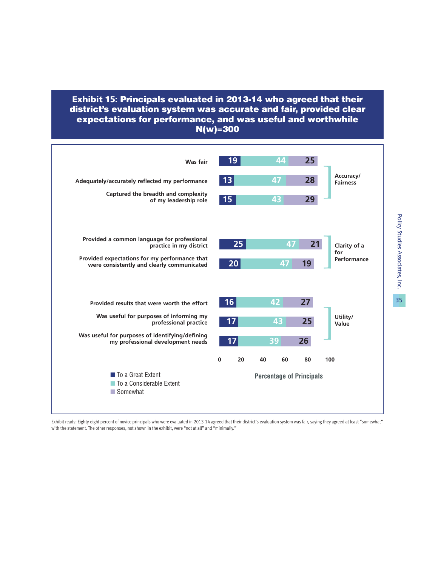## **Exhibit 15: Principals evaluated in 2013-14 who agreed that their district's evaluation system was accurate and fair, provided clear expectations for performance, and was useful and worthwhile N(w)=300**



Exhibit reads: Eighty-eight percent of novice principals who were evaluated in 2013-14 agreed that their district's evaluation system was fair, saying they agreed at least "somewhat" with the statement. The other responses, not shown in the exhibit, were "not at all" and "minimally."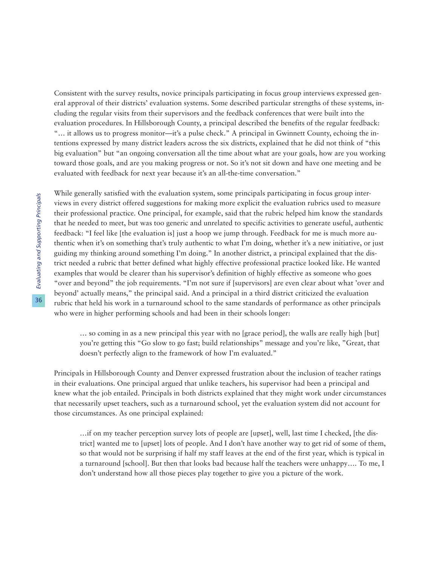Consistent with the survey results, novice principals participating in focus group interviews expressed general approval of their districts' evaluation systems. Some described particular strengths of these systems, including the regular visits from their supervisors and the feedback conferences that were built into the evaluation procedures. In Hillsborough County, a principal described the benefits of the regular feedback: "… it allows us to progress monitor—it's a pulse check." A principal in Gwinnett County, echoing the intentions expressed by many district leaders across the six districts, explained that he did not think of "this big evaluation" but "an ongoing conversation all the time about what are your goals, how are you working toward those goals, and are you making progress or not. So it's not sit down and have one meeting and be evaluated with feedback for next year because it's an all-the-time conversation."

While generally satisfied with the evaluation system, some principals participating in focus group interviews in every district offered suggestions for making more explicit the evaluation rubrics used to measure their professional practice. One principal, for example, said that the rubric helped him know the standards that he needed to meet, but was too generic and unrelated to specific activities to generate useful, authentic feedback: "I feel like [the evaluation is] just a hoop we jump through. Feedback for me is much more authentic when it's on something that's truly authentic to what I'm doing, whether it's a new initiative, or just guiding my thinking around something I'm doing." In another district, a principal explained that the district needed a rubric that better defined what highly effective professional practice looked like. He wanted examples that would be clearer than his supervisor's definition of highly effective as someone who goes "over and beyond" the job requirements. "I'm not sure if [supervisors] are even clear about what 'over and beyond' actually means," the principal said. And a principal in a third district criticized the evaluation rubric that held his work in a turnaround school to the same standards of performance as other principals who were in higher performing schools and had been in their schools longer:

… so coming in as a new principal this year with no [grace period], the walls are really high [but] you're getting this "Go slow to go fast; build relationships" message and you're like, "Great, that doesn't perfectly align to the framework of how I'm evaluated."

Principals in Hillsborough County and Denver expressed frustration about the inclusion of teacher ratings in their evaluations. One principal argued that unlike teachers, his supervisor had been a principal and knew what the job entailed. Principals in both districts explained that they might work under circumstances that necessarily upset teachers, such as a turnaround school, yet the evaluation system did not account for those circumstances. As one principal explained:

…if on my teacher perception survey lots of people are [upset], well, last time I checked, [the district] wanted me to [upset] lots of people. And I don't have another way to get rid of some of them, so that would not be surprising if half my staff leaves at the end of the first year, which is typical in a turnaround [school]. But then that looks bad because half the teachers were unhappy…. To me, I don't understand how all those pieces play together to give you a picture of the work.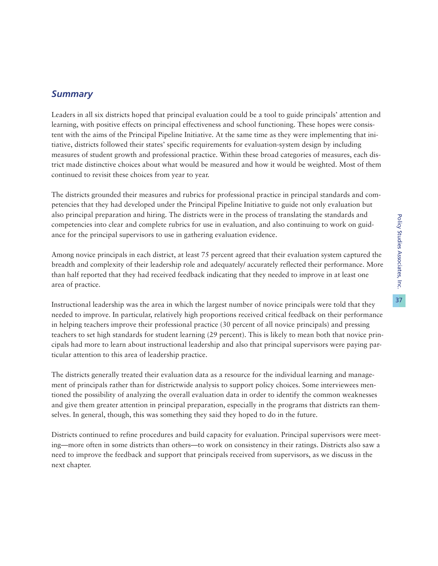37

#### *Summary*

Leaders in all six districts hoped that principal evaluation could be a tool to guide principals' attention and learning, with positive effects on principal effectiveness and school functioning. These hopes were consistent with the aims of the Principal Pipeline Initiative. At the same time as they were implementing that initiative, districts followed their states' specific requirements for evaluation-system design by including measures of student growth and professional practice. Within these broad categories of measures, each district made distinctive choices about what would be measured and how it would be weighted. Most of them continued to revisit these choices from year to year.

The districts grounded their measures and rubrics for professional practice in principal standards and competencies that they had developed under the Principal Pipeline Initiative to guide not only evaluation but also principal preparation and hiring. The districts were in the process of translating the standards and competencies into clear and complete rubrics for use in evaluation, and also continuing to work on guidance for the principal supervisors to use in gathering evaluation evidence.

Among novice principals in each district, at least 75 percent agreed that their evaluation system captured the breadth and complexity of their leadership role and adequately/ accurately reflected their performance. More than half reported that they had received feedback indicating that they needed to improve in at least one area of practice.

Instructional leadership was the area in which the largest number of novice principals were told that they needed to improve. In particular, relatively high proportions received critical feedback on their performance in helping teachers improve their professional practice (30 percent of all novice principals) and pressing teachers to set high standards for student learning (29 percent). This is likely to mean both that novice principals had more to learn about instructional leadership and also that principal supervisors were paying particular attention to this area of leadership practice.

The districts generally treated their evaluation data as a resource for the individual learning and management of principals rather than for districtwide analysis to support policy choices. Some interviewees mentioned the possibility of analyzing the overall evaluation data in order to identify the common weaknesses and give them greater attention in principal preparation, especially in the programs that districts ran themselves. In general, though, this was something they said they hoped to do in the future.

Districts continued to refine procedures and build capacity for evaluation. Principal supervisors were meeting—more often in some districts than others—to work on consistency in their ratings. Districts also saw a need to improve the feedback and support that principals received from supervisors, as we discuss in the next chapter.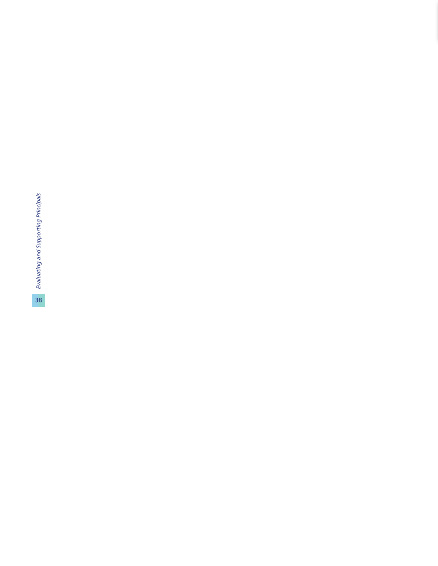*Evaluating and Sup porting Principals* sualuating and Supporting Principals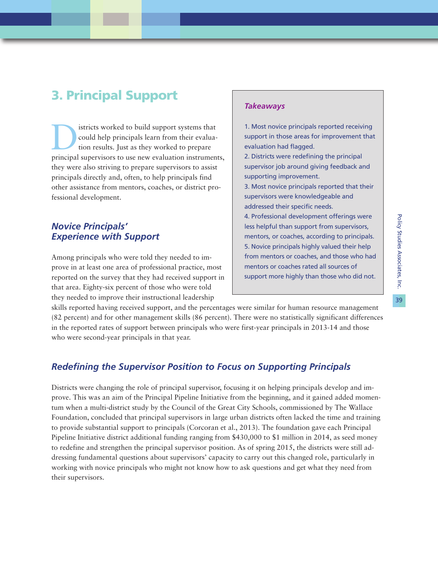# **3. Principal Support**

Interior systems that<br>
could help principals learn from their evalua<br>
tion results. Just as they worked to prepare<br>
principal supervisors to use new evaluation instruments could help principals learn from their evaluation results. Just as they worked to prepare principal supervisors to use new evaluation instruments, they were also striving to prepare supervisors to assist principals directly and, often, to help principals find other assistance from mentors, coaches, or district professional development.

## *Novice Principals' Experience with Support*

Among principals who were told they needed to improve in at least one area of professional practice, most reported on the survey that they had received support in that area. Eighty-six percent of those who were told they needed to improve their instructional leadership

#### *Takeaways*

1. Most novice principals reported receiving support in those areas for improvement that evaluation had flagged.

2. Districts were redefining the principal supervisor job around giving feedback and supporting improvement.

3. Most novice principals reported that their supervisors were knowledgeable and addressed their specific needs.

4. Professional development offerings were less helpful than support from supervisors, mentors, or coaches, according to principals. 5. Novice principals highly valued their help from mentors or coaches, and those who had mentors or coaches rated all sources of support more highly than those who did not.

skills reported having received support, and the percentages were similar for human resource management (82 percent) and for other management skills (86 percent). There were no statistically significant differences in the reported rates of support between principals who were first-year principals in 2013-14 and those who were second-year principals in that year.

# *Redefining the Supervisor Position to Focus on Supporting Principals*

Districts were changing the role of principal supervisor, focusing it on helping principals develop and improve. This was an aim of the Principal Pipeline Initiative from the beginning, and it gained added momentum when a multi-district study by the Council of the Great City Schools, commissioned by The Wallace Foundation, concluded that principal supervisors in large urban districts often lacked the time and training to provide substantial support to principals (Corcoran et al., 2013). The foundation gave each Principal Pipeline Initiative district additional funding ranging from \$430,000 to \$1 million in 2014, as seed money to redefine and strengthen the principal supervisor position. As of spring 2015, the districts were still addressing fundamental questions about supervisors' capacity to carry out this changed role, particularly in working with novice principals who might not know how to ask questions and get what they need from their supervisors.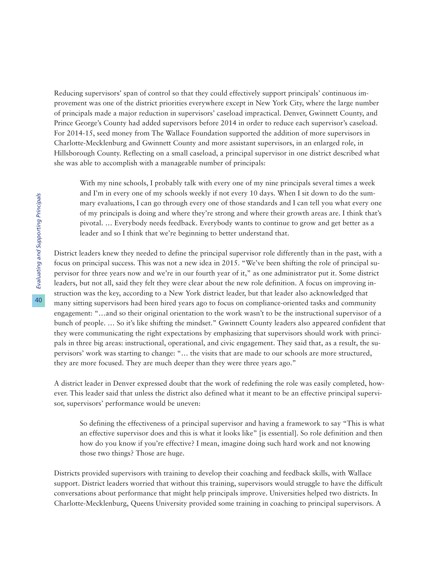Reducing supervisors' span of control so that they could effectively support principals' continuous improvement was one of the district priorities everywhere except in New York City, where the large number of principals made a major reduction in supervisors' caseload impractical. Denver, Gwinnett County, and Prince George's County had added supervisors before 2014 in order to reduce each supervisor's caseload. For 2014-15, seed money from The Wallace Foundation supported the addition of more supervisors in Charlotte-Mecklenburg and Gwinnett County and more assistant supervisors, in an enlarged role, in Hillsborough County. Reflecting on a small caseload, a principal supervisor in one district described what she was able to accomplish with a manageable number of principals:

With my nine schools, I probably talk with every one of my nine principals several times a week and I'm in every one of my schools weekly if not every 10 days. When I sit down to do the summary evaluations, I can go through every one of those standards and I can tell you what every one of my principals is doing and where they're strong and where their growth areas are. I think that's pivotal. … Everybody needs feedback. Everybody wants to continue to grow and get better as a leader and so I think that we're beginning to better understand that.

District leaders knew they needed to define the principal supervisor role differently than in the past, with a focus on principal success. This was not a new idea in 2015. "We've been shifting the role of principal supervisor for three years now and we're in our fourth year of it," as one administrator put it. Some district leaders, but not all, said they felt they were clear about the new role definition. A focus on improving instruction was the key, according to a New York district leader, but that leader also acknowledged that many sitting supervisors had been hired years ago to focus on compliance-oriented tasks and community engagement: "…and so their original orientation to the work wasn't to be the instructional supervisor of a bunch of people. … So it's like shifting the mindset." Gwinnett County leaders also appeared confident that they were communicating the right expectations by emphasizing that supervisors should work with principals in three big areas: instructional, operational, and civic engagement. They said that, as a result, the supervisors' work was starting to change: "… the visits that are made to our schools are more structured, they are more focused. They are much deeper than they were three years ago."

A district leader in Denver expressed doubt that the work of redefining the role was easily completed, however. This leader said that unless the district also defined what it meant to be an effective principal supervisor, supervisors' performance would be uneven:

So defining the effectiveness of a principal supervisor and having a framework to say "This is what an effective supervisor does and this is what it looks like" [is essential]. So role definition and then how do you know if you're effective? I mean, imagine doing such hard work and not knowing those two things? Those are huge.

Districts provided supervisors with training to develop their coaching and feedback skills, with Wallace support. District leaders worried that without this training, supervisors would struggle to have the difficult conversations about performance that might help principals improve. Universities helped two districts. In Charlotte-Mecklenburg, Queens University provided some training in coaching to principal supervisors. A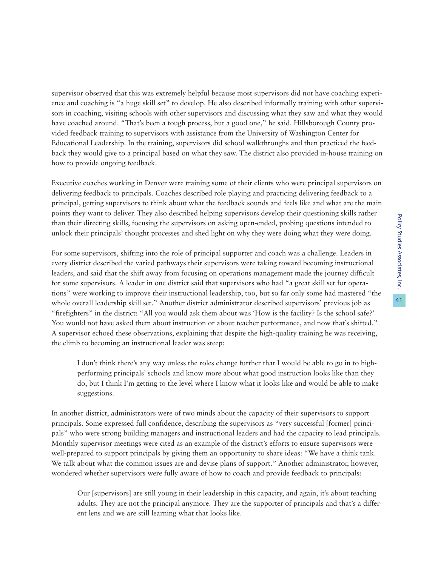supervisor observed that this was extremely helpful because most supervisors did not have coaching experience and coaching is "a huge skill set" to develop. He also described informally training with other supervisors in coaching, visiting schools with other supervisors and discussing what they saw and what they would have coached around. "That's been a tough process, but a good one," he said. Hillsborough County provided feedback training to supervisors with assistance from the University of Washington Center for Educational Leadership. In the training, supervisors did school walkthroughs and then practiced the feedback they would give to a principal based on what they saw. The district also provided in-house training on how to provide ongoing feedback.

Executive coaches working in Denver were training some of their clients who were principal supervisors on delivering feedback to principals. Coaches described role playing and practicing delivering feedback to a principal, getting supervisors to think about what the feedback sounds and feels like and what are the main points they want to deliver. They also described helping supervisors develop their questioning skills rather than their directing skills, focusing the supervisors on asking open-ended, probing questions intended to unlock their principals' thought processes and shed light on why they were doing what they were doing.

For some supervisors, shifting into the role of principal supporter and coach was a challenge. Leaders in every district described the varied pathways their supervisors were taking toward becoming instructional leaders, and said that the shift away from focusing on operations management made the journey difficult for some supervisors. A leader in one district said that supervisors who had "a great skill set for operations" were working to improve their instructional leadership, too, but so far only some had mastered "the whole overall leadership skill set." Another district administrator described supervisors' previous job as "firefighters" in the district: "All you would ask them about was 'How is the facility? Is the school safe?' You would not have asked them about instruction or about teacher performance, and now that's shifted." A supervisor echoed these observations, explaining that despite the high-quality training he was receiving, the climb to becoming an instructional leader was steep:

I don't think there's any way unless the roles change further that I would be able to go in to highperforming principals' schools and know more about what good instruction looks like than they do, but I think I'm getting to the level where I know what it looks like and would be able to make suggestions.

In another district, administrators were of two minds about the capacity of their supervisors to support principals. Some expressed full confidence, describing the supervisors as "very successful [former] principals" who were strong building managers and instructional leaders and had the capacity to lead principals. Monthly supervisor meetings were cited as an example of the district's efforts to ensure supervisors were well-prepared to support principals by giving them an opportunity to share ideas: "We have a think tank. We talk about what the common issues are and devise plans of support." Another administrator, however, wondered whether supervisors were fully aware of how to coach and provide feedback to principals:

Our [supervisors] are still young in their leadership in this capacity, and again, it's about teaching adults. They are not the principal anymore. They are the supporter of principals and that's a different lens and we are still learning what that looks like.

Inc.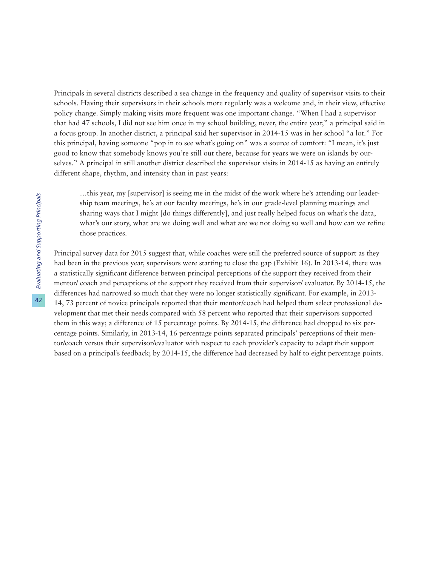Principals in several districts described a sea change in the frequency and quality of supervisor visits to their schools. Having their supervisors in their schools more regularly was a welcome and, in their view, effective policy change. Simply making visits more frequent was one important change. "When I had a supervisor that had 47 schools, I did not see him once in my school building, never, the entire year," a principal said in a focus group. In another district, a principal said her supervisor in 2014-15 was in her school "a lot." For this principal, having someone "pop in to see what's going on" was a source of comfort: "I mean, it's just good to know that somebody knows you're still out there, because for years we were on islands by ourselves." A principal in still another district described the supervisor visits in 2014-15 as having an entirely different shape, rhythm, and intensity than in past years:

…this year, my [supervisor] is seeing me in the midst of the work where he's attending our leadership team meetings, he's at our faculty meetings, he's in our grade-level planning meetings and sharing ways that I might [do things differently], and just really helped focus on what's the data, what's our story, what are we doing well and what are we not doing so well and how can we refine those practices.

Principal survey data for 2015 suggest that, while coaches were still the preferred source of support as they had been in the previous year, supervisors were starting to close the gap (Exhibit 16). In 2013-14, there was a statistically significant difference between principal perceptions of the support they received from their mentor/ coach and perceptions of the support they received from their supervisor/ evaluator. By 2014-15, the differences had narrowed so much that they were no longer statistically significant. For example, in 2013- 14, 73 percent of novice principals reported that their mentor/coach had helped them select professional development that met their needs compared with 58 percent who reported that their supervisors supported them in this way; a difference of 15 percentage points. By 2014-15, the difference had dropped to six percentage points. Similarly, in 2013-14, 16 percentage points separated principals' perceptions of their mentor/coach versus their supervisor/evaluator with respect to each provider's capacity to adapt their support based on a principal's feedback; by 2014-15, the difference had decreased by half to eight percentage points.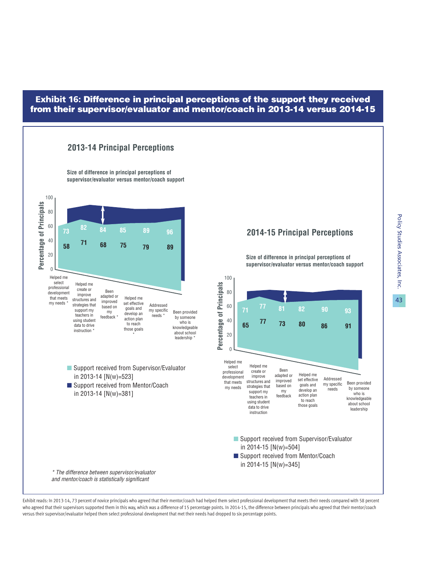## **Exhibit 16: Difference in principal perceptions of the support they received from their supervisor/evaluator and mentor/coach in 2013-14 versus 2014-15**

## **2013-14 Principal Perceptions**

**Size of difference in principal perceptions of supervisor/evaluator versus mentor/coach support**



*and mentor/coach is statistically significant*

Exhibit reads: In 2013-14, 73 percent of novice principals who agreed that their mentor/coach had helped them select professional development that meets their needs compared with 58 percent who agreed that their supervisors supported them in this way, which was a difference of 15 percentage points. In 2014-15, the difference between principals who agreed that their mentor/coach versus their supervisor/evaluator helped them select professional development that met their needs had dropped to six percentage points.

Been adapted or improved based on my feedback

Helped me set effective goals and develop an action plan to reach those goals

Addressed my specific needs

Been provided by someone who is knowledgeable about school leadership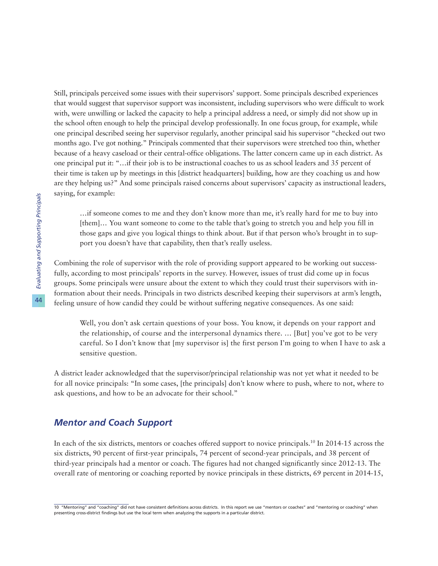Still, principals perceived some issues with their supervisors' support. Some principals described experiences that would suggest that supervisor support was inconsistent, including supervisors who were difficult to work with, were unwilling or lacked the capacity to help a principal address a need, or simply did not show up in the school often enough to help the principal develop professionally. In one focus group, for example, while one principal described seeing her supervisor regularly, another principal said his supervisor "checked out two months ago. I've got nothing." Principals commented that their supervisors were stretched too thin, whether because of a heavy caseload or their central-office obligations. The latter concern came up in each district. As one principal put it: "…if their job is to be instructional coaches to us as school leaders and 35 percent of their time is taken up by meetings in this [district headquarters] building, how are they coaching us and how are they helping us?" And some principals raised concerns about supervisors' capacity as instructional leaders, saying, for example:

…if someone comes to me and they don't know more than me, it's really hard for me to buy into [them]… You want someone to come to the table that's going to stretch you and help you fill in those gaps and give you logical things to think about. But if that person who's brought in to support you doesn't have that capability, then that's really useless.

Combining the role of supervisor with the role of providing support appeared to be working out successfully, according to most principals' reports in the survey. However, issues of trust did come up in focus groups. Some principals were unsure about the extent to which they could trust their supervisors with information about their needs. Principals in two districts described keeping their supervisors at arm's length, feeling unsure of how candid they could be without suffering negative consequences. As one said:

Well, you don't ask certain questions of your boss. You know, it depends on your rapport and the relationship, of course and the interpersonal dynamics there. … [But] you've got to be very careful. So I don't know that [my supervisor is] the first person I'm going to when I have to ask a sensitive question.

A district leader acknowledged that the supervisor/principal relationship was not yet what it needed to be for all novice principals: "In some cases, [the principals] don't know where to push, where to not, where to ask questions, and how to be an advocate for their school."

#### *Mentor and Coach Support*

In each of the six districts, mentors or coaches offered support to novice principals.<sup>10</sup> In 2014-15 across the six districts, 90 percent of first-year principals, 74 percent of second-year principals, and 38 percent of third-year principals had a mentor or coach. The figures had not changed significantly since 2012-13. The overall rate of mentoring or coaching reported by novice principals in these districts, 69 percent in 2014-15,

<sup>10</sup> "Mentoring" and "coaching" did not have consistent definitions across districts. In this report we use "mentors or coaches" and "mentoring or coaching" when presenting cross-district findings but use the local term when analyzing the supports in a particular district.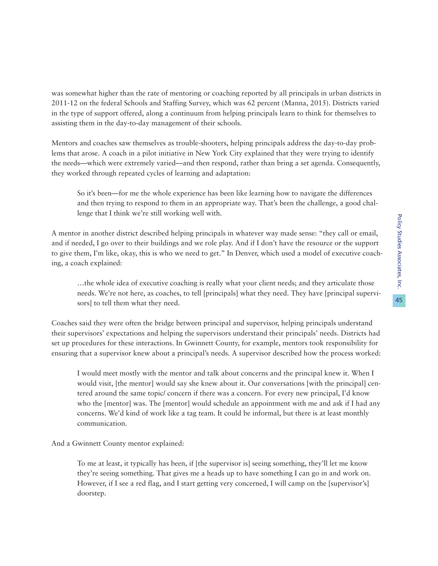was somewhat higher than the rate of mentoring or coaching reported by all principals in urban districts in 2011-12 on the federal Schools and Staffing Survey, which was 62 percent (Manna, 2015). Districts varied in the type of support offered, along a continuum from helping principals learn to think for themselves to assisting them in the day-to-day management of their schools.

Mentors and coaches saw themselves as trouble-shooters, helping principals address the day-to-day problems that arose. A coach in a pilot initiative in New York City explained that they were trying to identify the needs—which were extremely varied—and then respond, rather than bring a set agenda. Consequently, they worked through repeated cycles of learning and adaptation:

So it's been—for me the whole experience has been like learning how to navigate the differences and then trying to respond to them in an appropriate way. That's been the challenge, a good challenge that I think we're still working well with.

A mentor in another district described helping principals in whatever way made sense: "they call or email, and if needed, I go over to their buildings and we role play. And if I don't have the resource or the support to give them, I'm like, okay, this is who we need to get." In Denver, which used a model of executive coaching, a coach explained:

…the whole idea of executive coaching is really what your client needs; and they articulate those needs. We're not here, as coaches, to tell [principals] what they need. They have [principal supervisors] to tell them what they need.

Coaches said they were often the bridge between principal and supervisor, helping principals understand their supervisors' expectations and helping the supervisors understand their principals' needs. Districts had set up procedures for these interactions. In Gwinnett County, for example, mentors took responsibility for ensuring that a supervisor knew about a principal's needs. A supervisor described how the process worked:

I would meet mostly with the mentor and talk about concerns and the principal knew it. When I would visit, [the mentor] would say she knew about it. Our conversations [with the principal] centered around the same topic/ concern if there was a concern. For every new principal, I'd know who the [mentor] was. The [mentor] would schedule an appointment with me and ask if I had any concerns. We'd kind of work like a tag team. It could be informal, but there is at least monthly communication.

And a Gwinnett County mentor explained:

To me at least, it typically has been, if [the supervisor is] seeing something, they'll let me know they're seeing something. That gives me a heads up to have something I can go in and work on. However, if I see a red flag, and I start getting very concerned, I will camp on the [supervisor's] doorstep.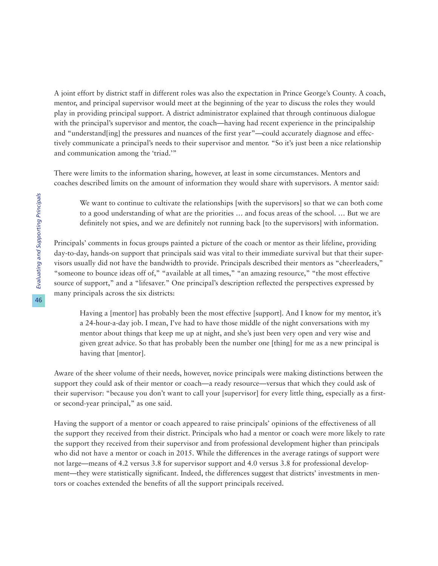A joint effort by district staff in different roles was also the expectation in Prince George's County. A coach, mentor, and principal supervisor would meet at the beginning of the year to discuss the roles they would play in providing principal support. A district administrator explained that through continuous dialogue with the principal's supervisor and mentor, the coach—having had recent experience in the principalship and "understand[ing] the pressures and nuances of the first year"—could accurately diagnose and effectively communicate a principal's needs to their supervisor and mentor. "So it's just been a nice relationship and communication among the 'triad.'"

There were limits to the information sharing, however, at least in some circumstances. Mentors and coaches described limits on the amount of information they would share with supervisors. A mentor said:

We want to continue to cultivate the relationships [with the supervisors] so that we can both come to a good understanding of what are the priorities … and focus areas of the school. … But we are definitely not spies, and we are definitely not running back [to the supervisors] with information.

Principals' comments in focus groups painted a picture of the coach or mentor as their lifeline, providing day-to-day, hands-on support that principals said was vital to their immediate survival but that their supervisors usually did not have the bandwidth to provide. Principals described their mentors as "cheerleaders," "someone to bounce ideas off of," "available at all times," "an amazing resource," "the most effective source of support," and a "lifesaver." One principal's description reflected the perspectives expressed by many principals across the six districts:

Having a [mentor] has probably been the most effective [support]. And I know for my mentor, it's a 24-hour-a-day job. I mean, I've had to have those middle of the night conversations with my mentor about things that keep me up at night, and she's just been very open and very wise and given great advice. So that has probably been the number one [thing] for me as a new principal is having that [mentor].

Aware of the sheer volume of their needs, however, novice principals were making distinctions between the support they could ask of their mentor or coach—a ready resource—versus that which they could ask of their supervisor: "because you don't want to call your [supervisor] for every little thing, especially as a firstor second-year principal," as one said.

Having the support of a mentor or coach appeared to raise principals' opinions of the effectiveness of all the support they received from their district. Principals who had a mentor or coach were more likely to rate the support they received from their supervisor and from professional development higher than principals who did not have a mentor or coach in 2015. While the differences in the average ratings of support were not large—means of 4.2 versus 3.8 for supervisor support and 4.0 versus 3.8 for professional development—they were statistically significant. Indeed, the differences suggest that districts' investments in mentors or coaches extended the benefits of all the support principals received.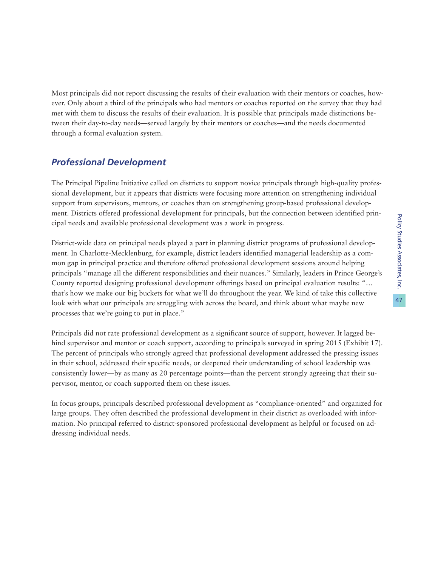Most principals did not report discussing the results of their evaluation with their mentors or coaches, however. Only about a third of the principals who had mentors or coaches reported on the survey that they had met with them to discuss the results of their evaluation. It is possible that principals made distinctions between their day-to-day needs—served largely by their mentors or coaches—and the needs documented through a formal evaluation system.

# *Professional Development*

The Principal Pipeline Initiative called on districts to support novice principals through high-quality professional development, but it appears that districts were focusing more attention on strengthening individual support from supervisors, mentors, or coaches than on strengthening group-based professional development. Districts offered professional development for principals, but the connection between identified principal needs and available professional development was a work in progress.

District-wide data on principal needs played a part in planning district programs of professional development. In Charlotte-Mecklenburg, for example, district leaders identified managerial leadership as a common gap in principal practice and therefore offered professional development sessions around helping principals "manage all the different responsibilities and their nuances." Similarly, leaders in Prince George's County reported designing professional development offerings based on principal evaluation results: "… that's how we make our big buckets for what we'll do throughout the year. We kind of take this collective look with what our principals are struggling with across the board, and think about what maybe new processes that we're going to put in place."

Principals did not rate professional development as a significant source of support, however. It lagged behind supervisor and mentor or coach support, according to principals surveyed in spring 2015 (Exhibit 17). The percent of principals who strongly agreed that professional development addressed the pressing issues in their school, addressed their specific needs, or deepened their understanding of school leadership was consistently lower—by as many as 20 percentage points—than the percent strongly agreeing that their supervisor, mentor, or coach supported them on these issues.

In focus groups, principals described professional development as "compliance-oriented" and organized for large groups. They often described the professional development in their district as overloaded with information. No principal referred to district-sponsored professional development as helpful or focused on addressing individual needs.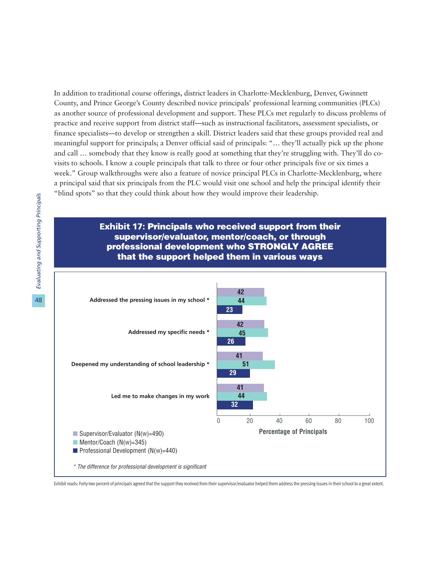In addition to traditional course offerings, district leaders in Charlotte-Mecklenburg, Denver, Gwinnett County, and Prince George's County described novice principals' professional learning communities (PLCs) as another source of professional development and support. These PLCs met regularly to discuss problems of practice and receive support from district staff—such as instructional facilitators, assessment specialists, or finance specialists—to develop or strengthen a skill. District leaders said that these groups provided real and meaningful support for principals; a Denver official said of principals: "… they'll actually pick up the phone and call … somebody that they know is really good at something that they're struggling with. They'll do covisits to schools. I know a couple principals that talk to three or four other principals five or six times a week." Group walkthroughs were also a feature of novice principal PLCs in Charlotte-Mecklenburg, where a principal said that six principals from the PLC would visit one school and help the principal identify their "blind spots" so that they could think about how they would improve their leadership.





Exhibit reads: Forty-two percent of principals agreed that the support they received from their supervisor/evaluator helped them address the pressing issues in their school to a great extent.

48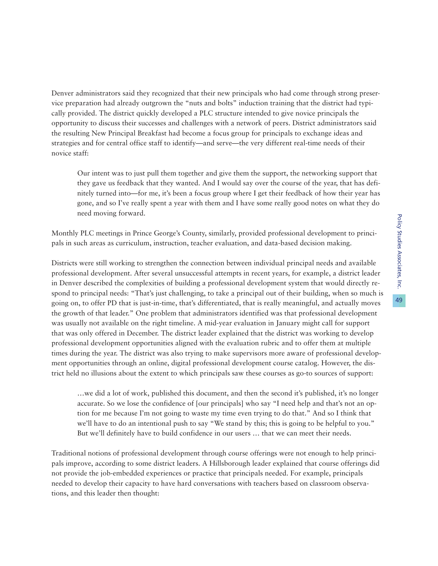Denver administrators said they recognized that their new principals who had come through strong preservice preparation had already outgrown the "nuts and bolts" induction training that the district had typically provided. The district quickly developed a PLC structure intended to give novice principals the opportunity to discuss their successes and challenges with a network of peers. District administrators said the resulting New Principal Breakfast had become a focus group for principals to exchange ideas and strategies and for central office staff to identify—and serve—the very different real-time needs of their novice staff:

Our intent was to just pull them together and give them the support, the networking support that they gave us feedback that they wanted. And I would say over the course of the year, that has definitely turned into—for me, it's been a focus group where I get their feedback of how their year has gone, and so I've really spent a year with them and I have some really good notes on what they do need moving forward.

Monthly PLC meetings in Prince George's County, similarly, provided professional development to principals in such areas as curriculum, instruction, teacher evaluation, and data-based decision making.

Districts were still working to strengthen the connection between individual principal needs and available professional development. After several unsuccessful attempts in recent years, for example, a district leader in Denver described the complexities of building a professional development system that would directly respond to principal needs: "That's just challenging, to take a principal out of their building, when so much is going on, to offer PD that is just-in-time, that's differentiated, that is really meaningful, and actually moves the growth of that leader." One problem that administrators identified was that professional development was usually not available on the right timeline. A mid-year evaluation in January might call for support that was only offered in December. The district leader explained that the district was working to develop professional development opportunities aligned with the evaluation rubric and to offer them at multiple times during the year. The district was also trying to make supervisors more aware of professional development opportunities through an online, digital professional development course catalog. However, the district held no illusions about the extent to which principals saw these courses as go-to sources of support:

…we did a lot of work, published this document, and then the second it's published, it's no longer accurate. So we lose the confidence of [our principals] who say "I need help and that's not an option for me because I'm not going to waste my time even trying to do that." And so I think that we'll have to do an intentional push to say "We stand by this; this is going to be helpful to you." But we'll definitely have to build confidence in our users … that we can meet their needs.

Traditional notions of professional development through course offerings were not enough to help principals improve, according to some district leaders. A Hillsborough leader explained that course offerings did not provide the job-embedded experiences or practice that principals needed. For example, principals needed to develop their capacity to have hard conversations with teachers based on classroom observations, and this leader then thought: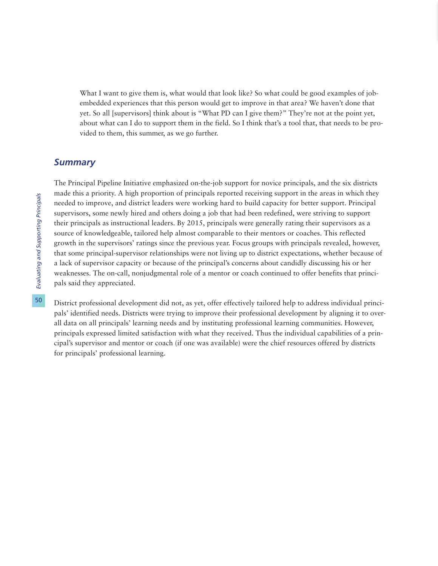What I want to give them is, what would that look like? So what could be good examples of jobembedded experiences that this person would get to improve in that area? We haven't done that yet. So all [supervisors] think about is "What PD can I give them?" They're not at the point yet, about what can I do to support them in the field. So I think that's a tool that, that needs to be provided to them, this summer, as we go further.

#### *Summary*

The Principal Pipeline Initiative emphasized on-the-job support for novice principals, and the six districts made this a priority. A high proportion of principals reported receiving support in the areas in which they needed to improve, and district leaders were working hard to build capacity for better support. Principal supervisors, some newly hired and others doing a job that had been redefined, were striving to support their principals as instructional leaders. By 2015, principals were generally rating their supervisors as a source of knowledgeable, tailored help almost comparable to their mentors or coaches. This reflected growth in the supervisors' ratings since the previous year. Focus groups with principals revealed, however, that some principal-supervisor relationships were not living up to district expectations, whether because of a lack of supervisor capacity or because of the principal's concerns about candidly discussing his or her weaknesses. The on-call, nonjudgmental role of a mentor or coach continued to offer benefits that principals said they appreciated.

District professional development did not, as yet, offer effectively tailored help to address individual principals' identified needs. Districts were trying to improve their professional development by aligning it to overall data on all principals' learning needs and by instituting professional learning communities. However, principals expressed limited satisfaction with what they received. Thus the individual capabilities of a principal's supervisor and mentor or coach (if one was available) were the chief resources offered by districts for principals' professional learning.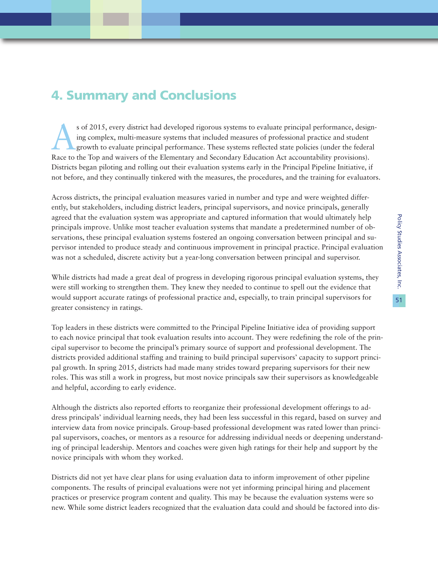# **4. Summary and Conclusions**

s of 2015, every district had developed rigorous systems to evaluate principal performance, designing complex, multi-measure systems that included measures of professional practice and student growth to evaluate principal ing complex, multi-measure systems that included measures of professional practice and student growth to evaluate principal performance. These systems reflected state policies (under the federal Race to the Top and waivers of the Elementary and Secondary Education Act accountability provisions). Districts began piloting and rolling out their evaluation systems early in the Principal Pipeline Initiative, if not before, and they continually tinkered with the measures, the procedures, and the training for evaluators.

Across districts, the principal evaluation measures varied in number and type and were weighted differently, but stakeholders, including district leaders, principal supervisors, and novice principals, generally agreed that the evaluation system was appropriate and captured information that would ultimately help principals improve. Unlike most teacher evaluation systems that mandate a predetermined number of observations, these principal evaluation systems fostered an ongoing conversation between principal and supervisor intended to produce steady and continuous improvement in principal practice. Principal evaluation was not a scheduled, discrete activity but a year-long conversation between principal and supervisor.

While districts had made a great deal of progress in developing rigorous principal evaluation systems, they were still working to strengthen them. They knew they needed to continue to spell out the evidence that would support accurate ratings of professional practice and, especially, to train principal supervisors for greater consistency in ratings.

Top leaders in these districts were committed to the Principal Pipeline Initiative idea of providing support to each novice principal that took evaluation results into account. They were redefining the role of the principal supervisor to become the principal's primary source of support and professional development. The districts provided additional staffing and training to build principal supervisors' capacity to support principal growth. In spring 2015, districts had made many strides toward preparing supervisors for their new roles. This was still a work in progress, but most novice principals saw their supervisors as knowledgeable and helpful, according to early evidence.

Although the districts also reported efforts to reorganize their professional development offerings to address principals' individual learning needs, they had been less successful in this regard, based on survey and interview data from novice principals. Group-based professional development was rated lower than principal supervisors, coaches, or mentors as a resource for addressing individual needs or deepening understanding of principal leadership. Mentors and coaches were given high ratings for their help and support by the novice principals with whom they worked.

Districts did not yet have clear plans for using evaluation data to inform improvement of other pipeline components. The results of principal evaluations were not yet informing principal hiring and placement practices or preservice program content and quality. This may be because the evaluation systems were so new. While some district leaders recognized that the evaluation data could and should be factored into dis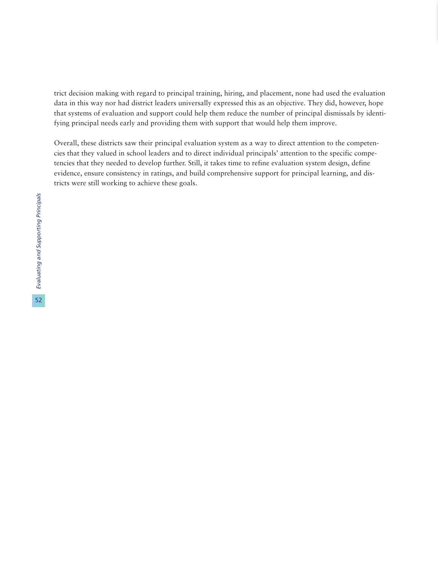trict decision making with regard to principal training, hiring, and placement, none had used the evaluation data in this way nor had district leaders universally expressed this as an objective. They did, however, hope that systems of evaluation and support could help them reduce the number of principal dismissals by identifying principal needs early and providing them with support that would help them improve.

Overall, these districts saw their principal evaluation system as a way to direct attention to the competencies that they valued in school leaders and to direct individual principals' attention to the specific competencies that they needed to develop further. Still, it takes time to refine evaluation system design, define evidence, ensure consistency in ratings, and build comprehensive support for principal learning, and districts were still working to achieve these goals.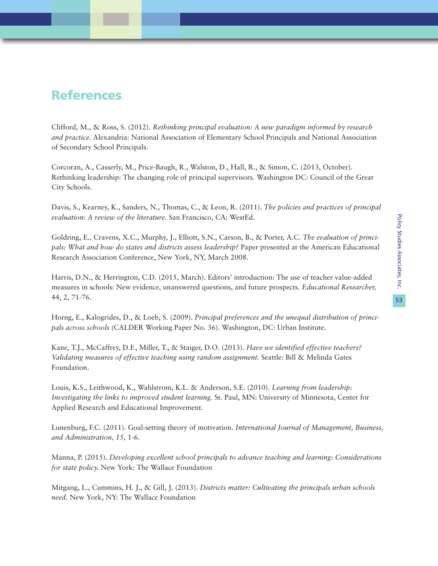# **References**

Clifford, M., & Ross, S. (2012). *Rethinking principal evaluation: A new paradigm informed by research and practice.* Alexandria: National Association of Elementary School Principals and National Association of Secondary School Principals.

Corcoran, A., Casserly, M., Price-Baugh, R., Walston, D., Hall, R., & Simon, C. (2013, October). Rethinking leadership: The changing role of principal supervisors. Washington DC: Council of the Great City Schools.

Davis, S., Kearney, K., Sanders, N., Thomas, C., & Leon, R. (2011). *The policies and practices of principal evaluation: A review of the literature.* San Francisco, CA: WestEd.

Goldring, E., Cravens, X.C., Murphy, J., Elliott, S.N., Carson, B., & Porter, A.C. *The evaluation of principals: What and how do states and districts assess leadership?* Paper presented at the American Educational Research Association Conference, New York, NY, March 2008.

Harris, D.N., & Herrington, C.D. (2015, March). Editors' introduction: The use of teacher value-added measures in schools: New evidence, unanswered questions, and future prospects. *Educational Researcher,* 44, 2, 71-76.

Horng, E., Kalogrides, D., & Loeb, S. (2009). *Principal preferences and the unequal distribution of principals across schools* (CALDER Working Paper No. 36). Washington, DC: Urban Institute.

Kane, T.J., McCaffrey, D.F., Miller, T., & Staiger, D.O. (2013). *Have we identified effective teachers? Validating measures of effective teaching using random assignment.* Seattle: Bill & Melinda Gates Foundation.

Louis, K.S., Leithwood, K., Wahlstrom, K.L. & Anderson, S.E. (2010). *Learning from leadership: Investigating the links to improved student learning.* St. Paul, MN: University of Minnesota, Center for Applied Research and Educational Improvement.

Lunenburg, F.C. (2011). Goal-setting theory of motivation. *International Journal of Management, Business, and Administration, 15,* 1-6.

Manna, P. (2015). *Developing excellent school principals to advance teaching and learning: Considerations for state policy.* New York: The Wallace Foundation

Mitgang, L., Cummins, H. J., & Gill, J. (2013). *Districts matter: Cultivating the principals urban schools need.* New York, NY: The Wallace Foundation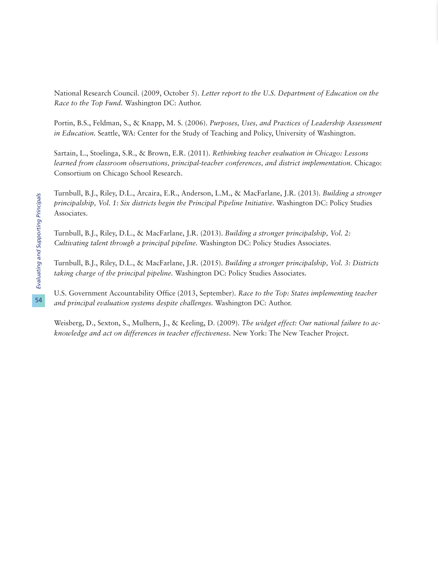National Research Council. (2009, October 5). *Letter report to the U.S. Department of Education on the Race to the Top Fund.* Washington DC: Author.

Portin, B.S., Feldman, S., & Knapp, M. S. (2006). *Purposes, Uses, and Practices of Leadership Assessment in Education.* Seattle, WA: Center for the Study of Teaching and Policy, University of Washington.

Sartain, L., Stoelinga, S.R., & Brown, E.R. (2011). *Rethinking teacher evaluation in Chicago: Lessons learned from classroom observations, principal-teacher conferences, and district implementation.* Chicago: Consortium on Chicago School Research.

Turnbull, B.J., Riley, D.L., Arcaira, E.R., Anderson, L.M., & MacFarlane, J.R. (2013). *Building a stronger principalship, Vol. 1: Six districts begin the Principal Pipeline Initiative.* Washington DC: Policy Studies Associates.

Turnbull, B.J., Riley, D.L., & MacFarlane, J.R. (2013). *Building a stronger principalship, Vol. 2: Cultivating talent through a principal pipeline.* Washington DC: Policy Studies Associates.

Turnbull, B.J., Riley, D.L., & MacFarlane, J.R. (2015). *Building a stronger principalship, Vol. 3: Districts taking charge of the principal pipeline.* Washington DC: Policy Studies Associates.

U.S. Government Accountability Office (2013, September). *Race to the Top: States implementing teacher and principal evaluation systems despite challenges.* Washington DC: Author.

Weisberg, D., Sexton, S., Mulhern, J., & Keeling, D. (2009). *The widget effect: Our national failure to acknowledge and act on differences in teacher effectiveness.* New York: The New Teacher Project.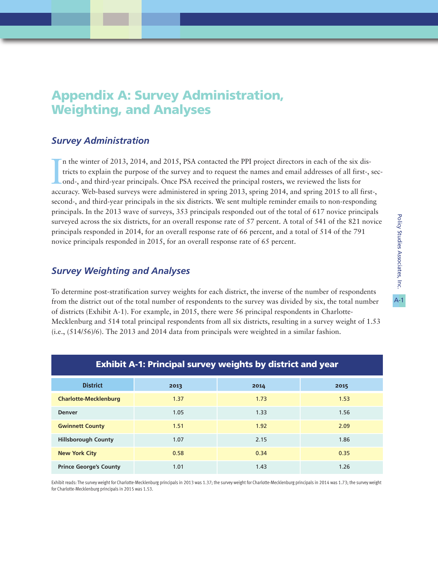# **Appendix A: Survey Administration, Weighting, and Analyses**

## *Survey Administration*

In the winter of 2013, 2014, and 2015, PSA contacted the PPI project directors in each of the six districts to explain the purpose of the survey and to request the names and email addresses of all first-, see ond-, and thi n the winter of 2013, 2014, and 2015, PSA contacted the PPI project directors in each of the six districts to explain the purpose of the survey and to request the names and email addresses of all first-, second-, and third-year principals. Once PSA received the principal rosters, we reviewed the lists for second-, and third-year principals in the six districts. We sent multiple reminder emails to non-responding principals. In the 2013 wave of surveys, 353 principals responded out of the total of 617 novice principals surveyed across the six districts, for an overall response rate of 57 percent. A total of 541 of the 821 novice principals responded in 2014, for an overall response rate of 66 percent, and a total of 514 of the 791 novice principals responded in 2015, for an overall response rate of 65 percent.

## *Survey Weighting and Analyses*

To determine post-stratification survey weights for each district, the inverse of the number of respondents from the district out of the total number of respondents to the survey was divided by six, the total number of districts (Exhibit A-1). For example, in 2015, there were 56 principal respondents in Charlotte-Mecklenburg and 514 total principal respondents from all six districts, resulting in a survey weight of 1.53 (i.e., (514/56)/6). The 2013 and 2014 data from principals were weighted in a similar fashion.

| <b>Exhibit A-1: Principal survey weights by district and year</b> |      |      |      |  |
|-------------------------------------------------------------------|------|------|------|--|
| <b>District</b>                                                   | 2013 | 2014 | 2015 |  |
| <b>Charlotte-Mecklenburg</b>                                      | 1.37 | 1.73 | 1.53 |  |
| <b>Denver</b>                                                     | 1.05 | 1.33 | 1.56 |  |
| <b>Gwinnett County</b>                                            | 1.51 | 1.92 | 2.09 |  |
| <b>Hillsborough County</b>                                        | 1.07 | 2.15 | 1.86 |  |
| <b>New York City</b>                                              | 0.58 | 0.34 | 0.35 |  |
| <b>Prince George's County</b>                                     | 1.01 | 1.43 | 1.26 |  |

Exhibit reads: The survey weight for Charlotte-Mecklenburg principals in 2013 was 1.37; the survey weight for Charlotte-Mecklenburg principals in 2014 was 1.73; the survey weight for Charlotte-Mecklenburg principals in 2015 was 1.53.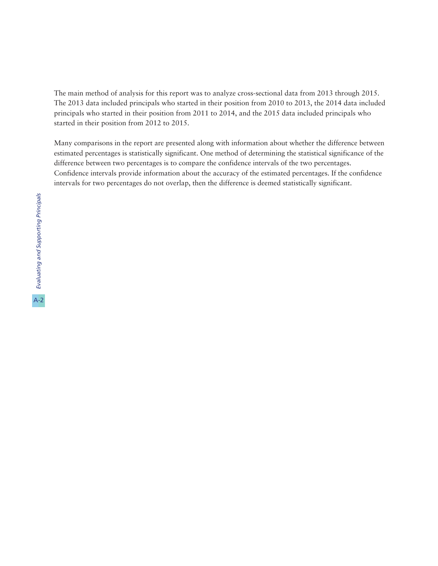The main method of analysis for this report was to analyze cross-sectional data from 2013 through 2015. The 2013 data included principals who started in their position from 2010 to 2013, the 2014 data included principals who started in their position from 2011 to 2014, and the 2015 data included principals who started in their position from 2012 to 2015.

Many comparisons in the report are presented along with information about whether the difference between estimated percentages is statistically significant. One method of determining the statistical significance of the difference between two percentages is to compare the confidence intervals of the two percentages. Confidence intervals provide information about the accuracy of the estimated percentages. If the confidence intervals for two percentages do not overlap, then the difference is deemed statistically significant.